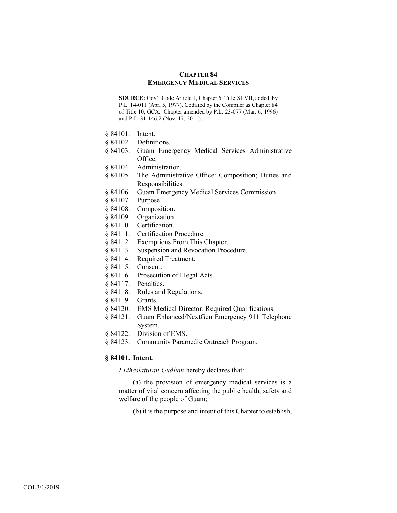# **CHAPTER 84 EMERGENCY MEDICAL SERVICES**

**SOURCE:** Gov't Code Article 1, Chapter 6, Title XLVII, added by P.L. 14-011 (Apr. 5, 1977). Codified by the Compiler as Chapter 84 of Title 10, GCA. Chapter amended by P.L. 23-077 (Mar. 6, 1996) and P.L. 31-146:2 (Nov. 17, 2011).

- § 84101. Intent.
- § 84102. Definitions.
- § 84103. Guam Emergency Medical Services Administrative Office.
- § 84104. Administration.
- § 84105. The Administrative Office: Composition; Duties and Responsibilities.
- § 84106. Guam Emergency Medical Services Commission.
- § 84107. Purpose.
- § 84108. Composition.
- § 84109. Organization.
- § 84110. Certification.
- § 84111. Certification Procedure.
- § 84112. Exemptions From This Chapter.
- § 84113. Suspension and Revocation Procedure.
- § 84114. Required Treatment.
- § 84115. Consent.
- § 84116. Prosecution of Illegal Acts.
- § 84117. Penalties.
- § 84118. Rules and Regulations.
- § 84119. Grants.
- § 84120. EMS Medical Director: Required Qualifications.
- § 84121. Guam Enhanced/NextGen Emergency 911 Telephone System.
- § 84122. Division of EMS.
- § 84123. Community Paramedic Outreach Program.

# **§ 84101. Intent***.*

*I Liheslaturan Guåhan* hereby declares that:

(a) the provision of emergency medical services is a matter of vital concern affecting the public health, safety and welfare of the people of Guam;

(b) it is the purpose and intent of this Chapter to establish,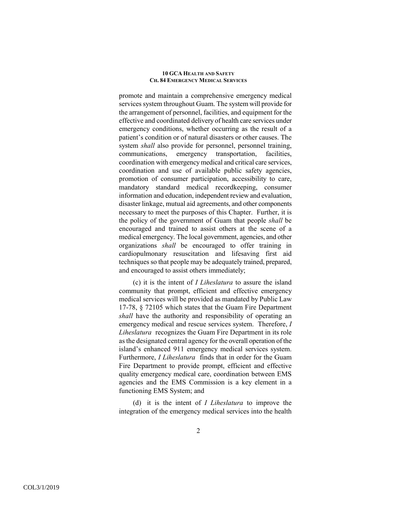promote and maintain a comprehensive emergency medical services system throughout Guam. The system will provide for the arrangement of personnel, facilities, and equipment for the effective and coordinated delivery of health care services under emergency conditions, whether occurring as the result of a patient's condition or of natural disasters or other causes. The system *shall* also provide for personnel, personnel training, communications, emergency transportation, facilities, coordination with emergency medical and critical care services, coordination and use of available public safety agencies, promotion of consumer participation, accessibility to care, mandatory standard medical recordkeeping, consumer information and education, independent review and evaluation, disaster linkage, mutual aid agreements, and other components necessary to meet the purposes of this Chapter. Further, it is the policy of the government of Guam that people *shall* be encouraged and trained to assist others at the scene of a medical emergency. The local government, agencies, and other organizations *shall* be encouraged to offer training in cardiopulmonary resuscitation and lifesaving first aid techniques so that people may be adequately trained, prepared, and encouraged to assist others immediately;

(c) it is the intent of *I Liheslatura* to assure the island community that prompt, efficient and effective emergency medical services will be provided as mandated by Public Law 17-78, § 72105 which states that the Guam Fire Department *shall* have the authority and responsibility of operating an emergency medical and rescue services system. Therefore, *I Liheslatura* recognizes the Guam Fire Department in its role as the designated central agency for the overall operation of the island's enhanced 911 emergency medical services system. Furthermore, *I Liheslatura* finds that in order for the Guam Fire Department to provide prompt, efficient and effective quality emergency medical care, coordination between EMS agencies and the EMS Commission is a key element in a functioning EMS System; and

(d) it is the intent of *I Liheslatura* to improve the integration of the emergency medical services into the health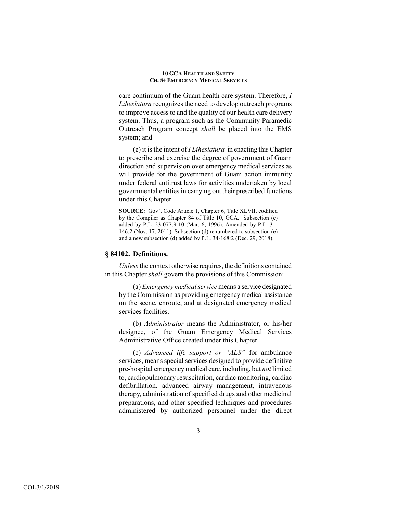care continuum of the Guam health care system. Therefore, *I Liheslatura* recognizes the need to develop outreach programs to improve access to and the quality of our health care delivery system. Thus, a program such as the Community Paramedic Outreach Program concept *shall* be placed into the EMS system; and

(e) it is the intent of *I Liheslatura* in enacting this Chapter to prescribe and exercise the degree of government of Guam direction and supervision over emergency medical services as will provide for the government of Guam action immunity under federal antitrust laws for activities undertaken by local governmental entities in carrying out their prescribed functions under this Chapter.

**SOURCE:** Gov't Code Article 1, Chapter 6, Title XLVII, codified by the Compiler as Chapter 84 of Title 10, GCA. Subsection (c) added by P.L. 23-077:9-10 (Mar. 6, 1996). Amended by P.L. 31- 146:2 (Nov. 17, 2011). Subsection (d) renumbered to subsection (e) and a new subsection (d) added by P.L. 34-168:2 (Dec. 29, 2018).

# **§ 84102. Definitions.**

*Unless* the context otherwise requires, the definitions contained in this Chapter *shall* govern the provisions of this Commission:

(a) *Emergency medical service* means a service designated by the Commission as providing emergency medical assistance on the scene, enroute, and at designated emergency medical services facilities.

(b) *Administrator* means the Administrator, or his/her designee, of the Guam Emergency Medical Services Administrative Office created under this Chapter.

(c) *Advanced life support or "ALS"* for ambulance services, means special services designed to provide definitive pre-hospital emergency medical care, including, but *not* limited to, cardiopulmonary resuscitation, cardiac monitoring, cardiac defibrillation, advanced airway management, intravenous therapy, administration of specified drugs and other medicinal preparations, and other specified techniques and procedures administered by authorized personnel under the direct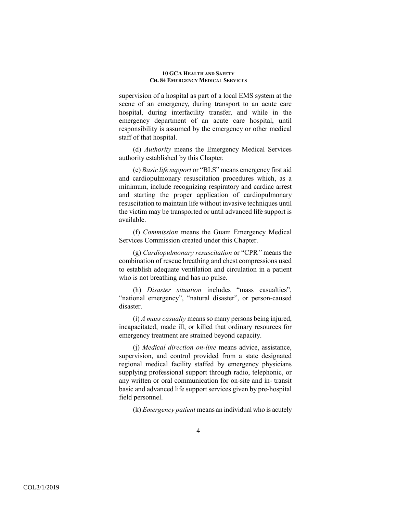supervision of a hospital as part of a local EMS system at the scene of an emergency, during transport to an acute care hospital, during interfacility transfer, and while in the emergency department of an acute care hospital, until responsibility is assumed by the emergency or other medical staff of that hospital.

(d) *Authority* means the Emergency Medical Services authority established by this Chapter.

(e) *Basic life support* or "BLS" means emergency first aid and cardiopulmonary resuscitation procedures which, as a minimum, include recognizing respiratory and cardiac arrest and starting the proper application of cardiopulmonary resuscitation to maintain life without invasive techniques until the victim may be transported or until advanced life support is available.

(f) *Commission* means the Guam Emergency Medical Services Commission created under this Chapter.

(g) *Cardiopulmonary resuscitation* or "CPR*"* means the combination of rescue breathing and chest compressions used to establish adequate ventilation and circulation in a patient who is not breathing and has no pulse.

(h) *Disaster situation* includes "mass casualties", "national emergency", "natural disaster", or person-caused disaster.

(i) *A mass casualty* means so many persons being injured, incapacitated, made ill, or killed that ordinary resources for emergency treatment are strained beyond capacity.

(j) *Medical direction on-line* means advice, assistance, supervision, and control provided from a state designated regional medical facility staffed by emergency physicians supplying professional support through radio, telephonic, or any written or oral communication for on-site and in- transit basic and advanced life support services given by pre-hospital field personnel.

(k) *Emergency patient* means an individual who is acutely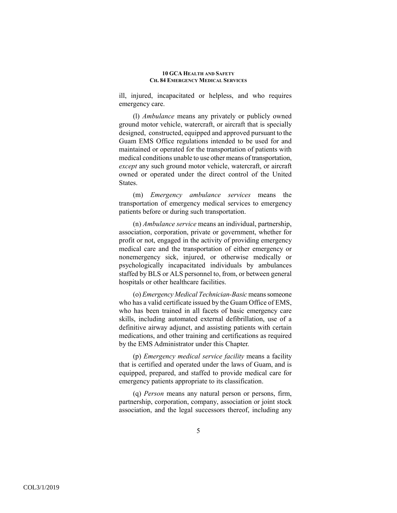ill, injured, incapacitated or helpless, and who requires emergency care.

(l) *Ambulance* means any privately or publicly owned ground motor vehicle, watercraft, or aircraft that is specially designed, constructed, equipped and approved pursuant to the Guam EMS Office regulations intended to be used for and maintained or operated for the transportation of patients with medical conditions unable to use other means of transportation, *except* any such ground motor vehicle, watercraft, or aircraft owned or operated under the direct control of the United States.

(m) *Emergency ambulance services* means the transportation of emergency medical services to emergency patients before or during such transportation.

(n) *Ambulance service* means an individual, partnership, association, corporation, private or government, whether for profit or not, engaged in the activity of providing emergency medical care and the transportation of either emergency or nonemergency sick, injured, or otherwise medically or psychologically incapacitated individuals by ambulances staffed by BLS or ALS personnel to, from, or between general hospitals or other healthcare facilities.

(o) *Emergency Medical Technician-Basic* means someone who has a valid certificate issued by the Guam Office of EMS, who has been trained in all facets of basic emergency care skills, including automated external defibrillation, use of a definitive airway adjunct, and assisting patients with certain medications, and other training and certifications as required by the EMS Administrator under this Chapter.

(p) *Emergency medical service facility* means a facility that is certified and operated under the laws of Guam, and is equipped, prepared, and staffed to provide medical care for emergency patients appropriate to its classification.

(q) *Person* means any natural person or persons, firm, partnership, corporation, company, association or joint stock association, and the legal successors thereof, including any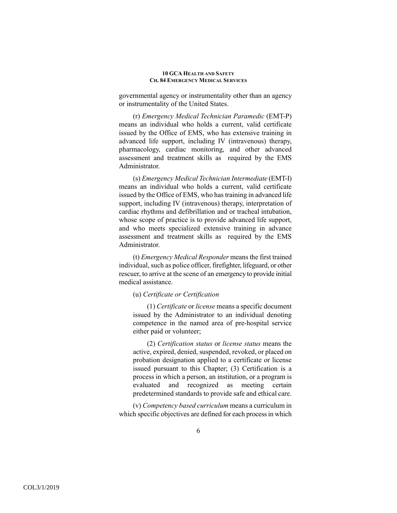governmental agency or instrumentality other than an agency or instrumentality of the United States.

(r) *Emergency Medical Technician Paramedic* (EMT-P) means an individual who holds a current, valid certificate issued by the Office of EMS, who has extensive training in advanced life support, including IV (intravenous) therapy, pharmacology, cardiac monitoring, and other advanced assessment and treatment skills as required by the EMS Administrator.

(s) *Emergency Medical Technician Intermediate* (EMT-I) means an individual who holds a current, valid certificate issued by the Office of EMS, who has training in advanced life support, including IV (intravenous) therapy, interpretation of cardiac rhythms and defibrillation and or tracheal intubation, whose scope of practice is to provide advanced life support, and who meets specialized extensive training in advance assessment and treatment skills as required by the EMS Administrator.

(t) *Emergency Medical Responder* means the first trained individual, such as police officer, firefighter, lifeguard, or other rescuer, to arrive at the scene of an emergency to provide initial medical assistance.

### (u) *Certificate or Certification*

(1) *Certificate* or *license* means a specific document issued by the Administrator to an individual denoting competence in the named area of pre-hospital service either paid or volunteer;

(2) *Certification status* or *license status* means the active, expired, denied, suspended, revoked, or placed on probation designation applied to a certificate or license issued pursuant to this Chapter; (3) Certification is a process in which a person, an institution, or a program is evaluated and recognized as meeting certain predetermined standards to provide safe and ethical care.

(v) *Competency based curriculum* means a curriculum in which specific objectives are defined for each process in which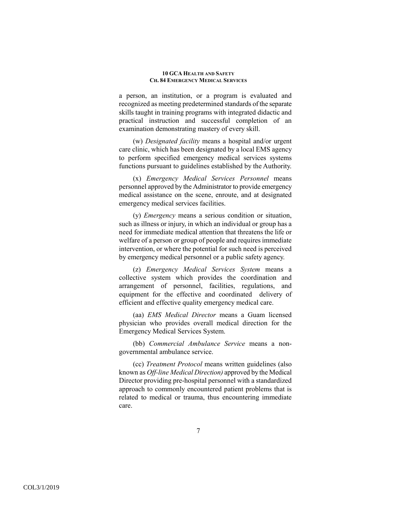a person, an institution, or a program is evaluated and recognized as meeting predetermined standards of the separate skills taught in training programs with integrated didactic and practical instruction and successful completion of an examination demonstrating mastery of every skill.

(w) *Designated facility* means a hospital and/or urgent care clinic, which has been designated by a local EMS agency to perform specified emergency medical services systems functions pursuant to guidelines established by the Authority.

(x) *Emergency Medical Services Personnel* means personnel approved by the Administrator to provide emergency medical assistance on the scene, enroute, and at designated emergency medical services facilities.

(y) *Emergency* means a serious condition or situation, such as illness or injury, in which an individual or group has a need for immediate medical attention that threatens the life or welfare of a person or group of people and requires immediate intervention, or where the potential for such need is perceived by emergency medical personnel or a public safety agency.

(z) *Emergency Medical Services System* means a collective system which provides the coordination and arrangement of personnel, facilities, regulations, and equipment for the effective and coordinated delivery of efficient and effective quality emergency medical care.

(aa) *EMS Medical Director* means a Guam licensed physician who provides overall medical direction for the Emergency Medical Services System.

(bb) *Commercial Ambulance Service* means a nongovernmental ambulance service.

(cc) *Treatment Protocol* means written guidelines (also known as *Off-line Medical Direction)* approved by the Medical Director providing pre-hospital personnel with a standardized approach to commonly encountered patient problems that is related to medical or trauma, thus encountering immediate care.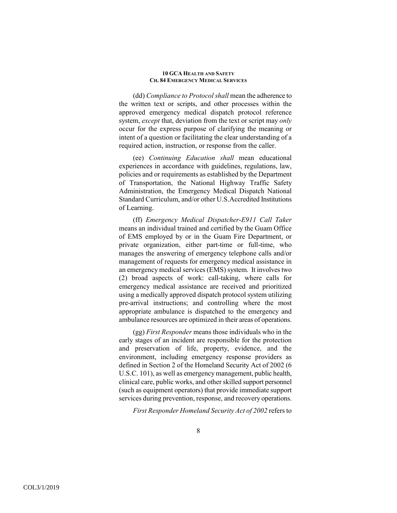(dd) *Compliance to Protocol shall* mean the adherence to the written text or scripts, and other processes within the approved emergency medical dispatch protocol reference system, *except* that, deviation from the text or script may *only* occur for the express purpose of clarifying the meaning or intent of a question or facilitating the clear understanding of a required action, instruction, or response from the caller.

(ee) *Continuing Education shall* mean educational experiences in accordance with guidelines, regulations, law, policies and or requirements as established by the Department of Transportation, the National Highway Traffic Safety Administration, the Emergency Medical Dispatch National Standard Curriculum, and/or other U.S.Accredited Institutions of Learning.

(ff) *Emergency Medical Dispatcher*-*E911 Call Taker* means an individual trained and certified by the Guam Office of EMS employed by or in the Guam Fire Department, or private organization, either part-time or full-time, who manages the answering of emergency telephone calls and/or management of requests for emergency medical assistance in an emergency medical services (EMS) system. It involves two (2) broad aspects of work: call-taking, where calls for emergency medical assistance are received and prioritized using a medically approved dispatch protocol system utilizing pre-arrival instructions; and controlling where the most appropriate ambulance is dispatched to the emergency and ambulance resources are optimized in their areas of operations.

(gg) *First Responder* means those individuals who in the early stages of an incident are responsible for the protection and preservation of life, property, evidence, and the environment, including emergency response providers as defined in Section 2 of the Homeland Security Act of 2002 (6 U.S.C. 101), as well as emergency management, public health, clinical care, public works, and other skilled support personnel (such as equipment operators) that provide immediate support services during prevention, response, and recovery operations.

*First Responder Homeland Security Act of 2002* refers to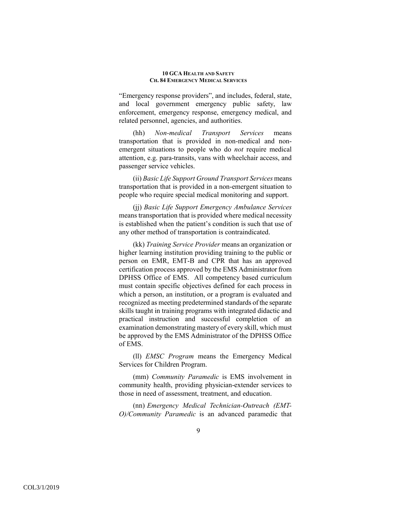"Emergency response providers", and includes, federal, state, and local government emergency public safety, law enforcement, emergency response, emergency medical, and related personnel, agencies, and authorities.

(hh) *Non-medical Transport Services* means transportation that is provided in non-medical and nonemergent situations to people who do *not* require medical attention, e.g. para-transits, vans with wheelchair access, and passenger service vehicles.

(ii) *Basic Life Support Ground Transport Services* means transportation that is provided in a non-emergent situation to people who require special medical monitoring and support.

(jj) *Basic Life Support Emergency Ambulance Services* means transportation that is provided where medical necessity is established when the patient's condition is such that use of any other method of transportation is contraindicated.

(kk) *Training Service Provider* means an organization or higher learning institution providing training to the public or person on EMR, EMT-B and CPR that has an approved certification process approved by the EMS Administrator from DPHSS Office of EMS. All competency based curriculum must contain specific objectives defined for each process in which a person, an institution, or a program is evaluated and recognized as meeting predetermined standards of the separate skills taught in training programs with integrated didactic and practical instruction and successful completion of an examination demonstrating mastery of every skill, which must be approved by the EMS Administrator of the DPHSS Office of EMS.

(ll) *EMSC Program* means the Emergency Medical Services for Children Program.

(mm) *Community Paramedic* is EMS involvement in community health, providing physician-extender services to those in need of assessment, treatment, and education.

(nn) *Emergency Medical Technician-Outreach (EMT-O)/Community Paramedic* is an advanced paramedic that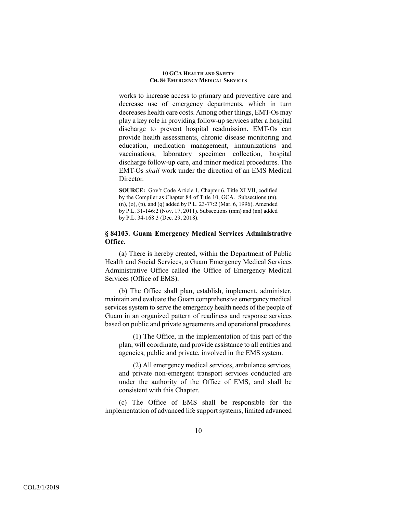works to increase access to primary and preventive care and decrease use of emergency departments, which in turn decreases health care costs. Among other things, EMT-Os may play a key role in providing follow-up services after a hospital discharge to prevent hospital readmission. EMT-Os can provide health assessments, chronic disease monitoring and education, medication management, immunizations and vaccinations, laboratory specimen collection, hospital discharge follow-up care, and minor medical procedures. The EMT-Os *shall* work under the direction of an EMS Medical Director.

**SOURCE:** Gov't Code Article 1, Chapter 6, Title XLVII, codified by the Compiler as Chapter 84 of Title 10, GCA. Subsections (m), (n), (o), (p), and (q) added by P.L. 23-77:2 (Mar. 6, 1996). Amended by P.L. 31-146:2 (Nov. 17, 2011). Subsections (mm) and (nn) added by P.L. 34-168:3 (Dec. 29, 2018).

# **§ 84103. Guam Emergency Medical Services Administrative Office.**

(a) There is hereby created, within the Department of Public Health and Social Services, a Guam Emergency Medical Services Administrative Office called the Office of Emergency Medical Services (Office of EMS).

(b) The Office shall plan, establish, implement, administer, maintain and evaluate the Guam comprehensive emergency medical services system to serve the emergency health needs of the people of Guam in an organized pattern of readiness and response services based on public and private agreements and operational procedures.

(1) The Office, in the implementation of this part of the plan, will coordinate, and provide assistance to all entities and agencies, public and private, involved in the EMS system.

(2) All emergency medical services, ambulance services, and private non-emergent transport services conducted are under the authority of the Office of EMS, and shall be consistent with this Chapter.

(c) The Office of EMS shall be responsible for the implementation of advanced life support systems, limited advanced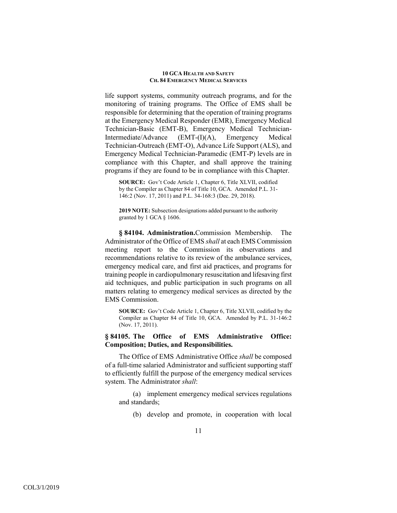life support systems, community outreach programs, and for the monitoring of training programs. The Office of EMS shall be responsible for determining that the operation of training programs at the Emergency Medical Responder (EMR), Emergency Medical Technician-Basic (EMT-B), Emergency Medical Technician-Intermediate/Advance (EMT-(I)(A), Emergency Medical Technician-Outreach (EMT-O), Advance Life Support (ALS), and Emergency Medical Technician-Paramedic (EMT-P) levels are in compliance with this Chapter, and shall approve the training programs if they are found to be in compliance with this Chapter.

**SOURCE:** Gov't Code Article 1, Chapter 6, Title XLVII, codified by the Compiler as Chapter 84 of Title 10, GCA. Amended P.L. 31- 146:2 (Nov. 17, 2011) and P.L. 34-168:3 (Dec. 29, 2018).

**2019 NOTE:** Subsection designations added pursuant to the authority granted by 1 GCA § 1606.

**§ 84104. Administration.**Commission Membership. The Administrator of the Office of EMS *shall* at each EMS Commission meeting report to the Commission its observations and recommendations relative to its review of the ambulance services, emergency medical care, and first aid practices, and programs for training people in cardiopulmonary resuscitation and lifesaving first aid techniques, and public participation in such programs on all matters relating to emergency medical services as directed by the EMS Commission.

**SOURCE:** Gov't Code Article 1, Chapter 6, Title XLVII, codified by the Compiler as Chapter 84 of Title 10, GCA. Amended by P.L. 31-146:2 (Nov. 17, 2011).

# **§ 84105. The Office of EMS Administrative Office: Composition; Duties, and Responsibilities.**

The Office of EMS Administrative Office *shall* be composed of a full-time salaried Administrator and sufficient supporting staff to efficiently fulfill the purpose of the emergency medical services system. The Administrator *shall*:

(a) implement emergency medical services regulations and standards;

(b) develop and promote, in cooperation with local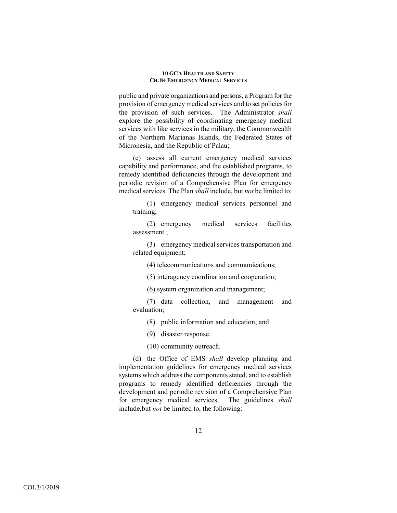public and private organizations and persons, a Program for the provision of emergency medical services and to set policies for the provision of such services. The Administrator *shall* explore the possibility of coordinating emergency medical services with like services in the military, the Commonwealth of the Northern Marianas Islands, the Federated States of Micronesia, and the Republic of Palau;

(c) assess all current emergency medical services capability and performance, and the established programs, to remedy identified deficiencies through the development and periodic revision of a Comprehensive Plan for emergency medical services. The Plan *shall* include, but *not* be limited to:

(1) emergency medical services personnel and training;

(2) emergency medical services facilities assessment ;

(3) emergency medical services transportation and related equipment;

(4) telecommunications and communications;

(5) interagency coordination and cooperation;

(6) system organization and management;

(7) data collection, and management and evaluation;

(8) public information and education; and

(9) disaster response.

(10) community outreach.

(d) the Office of EMS *shall* develop planning and implementation guidelines for emergency medical services systems which address the components stated, and to establish programs to remedy identified deficiencies through the development and periodic revision of a Comprehensive Plan for emergency medical services. The guidelines *shall* include,but *not* be limited to, the following: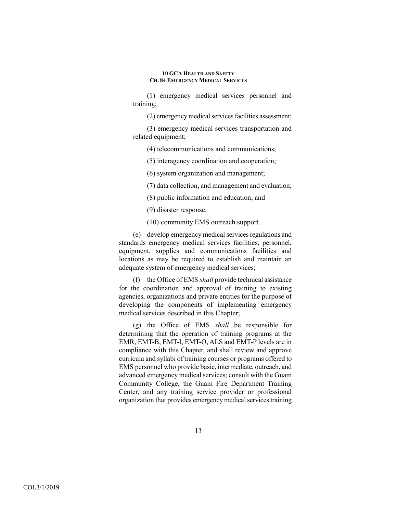(1) emergency medical services personnel and training;

(2) emergency medical services facilities assessment;

(3) emergency medical services transportation and related equipment;

(4) telecommunications and communications;

(5) interagency coordination and cooperation;

(6) system organization and management;

(7) data collection, and management and evaluation;

(8) public information and education; and

(9) disaster response.

(10) community EMS outreach support.

(e) develop emergency medical services regulations and standards emergency medical services facilities, personnel, equipment, supplies and communications facilities and locations as may be required to establish and maintain an adequate system of emergency medical services;

(f) the Office of EMS *shall* provide technical assistance for the coordination and approval of training to existing agencies, organizations and private entities for the purpose of developing the components of implementing emergency medical services described in this Chapter;

(g) the Office of EMS *shall* be responsible for determining that the operation of training programs at the EMR, EMT-B, EMT-I, EMT-O, ALS and EMT-P levels are in compliance with this Chapter, and shall review and approve curricula and syllabi of training courses or programs offered to EMS personnel who provide basic, intermediate, outreach, and advanced emergency medical services; consult with the Guam Community College, the Guam Fire Department Training Center, and any training service provider or professional organization that provides emergency medical services training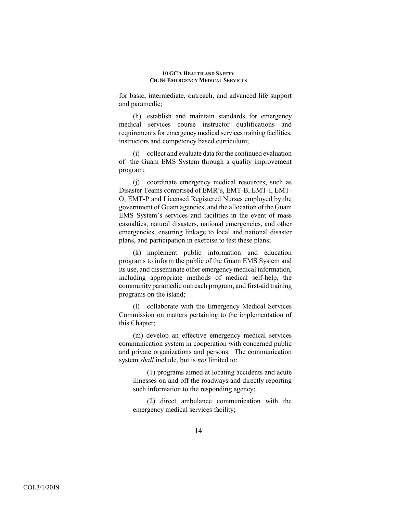for basic, intermediate, outreach, and advanced life support and paramedic;

(h) establish and maintain standards for emergency medical services course instructor qualifications and requirements for emergency medical services training facilities, instructors and competency based curriculum;

(i) collect and evaluate data for the continued evaluation of the Guam EMS System through a quality improvement program;

(j) coordinate emergency medical resources, such as Disaster Teams comprised of EMR's, EMT-B, EMT-I, EMT-O, EMT-P and Licensed Registered Nurses employed by the government of Guam agencies, and the allocation of the Guam EMS System's services and facilities in the event of mass casualties, natural disasters, national emergencies, and other emergencies, ensuring linkage to local and national disaster plans, and participation in exercise to test these plans;

(k) implement public information and education programs to inform the public of the Guam EMS System and its use, and disseminate other emergency medical information, including appropriate methods of medical self-help, the community paramedic outreach program, and first-aid training programs on the island;

(l) collaborate with the Emergency Medical Services Commission on matters pertaining to the implementation of this Chapter;

(m) develop an effective emergency medical services communication system in cooperation with concerned public and private organizations and persons. The communication system *shall* include, but is *not* limited to:

(1) programs aimed at locating accidents and acute illnesses on and off the roadways and directly reporting such information to the responding agency;

(2) direct ambulance communication with the emergency medical services facility;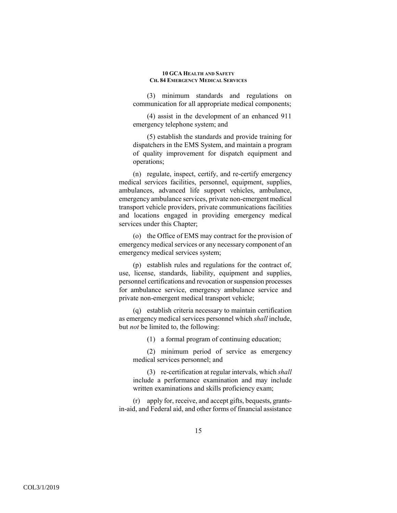(3) minimum standards and regulations on communication for all appropriate medical components;

(4) assist in the development of an enhanced 911 emergency telephone system; and

(5) establish the standards and provide training for dispatchers in the EMS System, and maintain a program of quality improvement for dispatch equipment and operations;

(n) regulate, inspect, certify, and re-certify emergency medical services facilities, personnel, equipment, supplies, ambulances, advanced life support vehicles, ambulance, emergency ambulance services, private non-emergent medical transport vehicle providers, private communications facilities and locations engaged in providing emergency medical services under this Chapter;

(o) the Office of EMS may contract for the provision of emergency medical services or any necessary component of an emergency medical services system;

(p) establish rules and regulations for the contract of, use, license, standards, liability, equipment and supplies, personnel certifications and revocation or suspension processes for ambulance service, emergency ambulance service and private non-emergent medical transport vehicle;

(q) establish criteria necessary to maintain certification as emergency medical services personnel which *shall* include, but *not* be limited to, the following:

(1) a formal program of continuing education;

(2) minimum period of service as emergency medical services personnel; and

(3) re-certification at regular intervals, which *shall* include a performance examination and may include written examinations and skills proficiency exam;

(r) apply for, receive, and accept gifts, bequests, grantsin-aid, and Federal aid, and other forms of financial assistance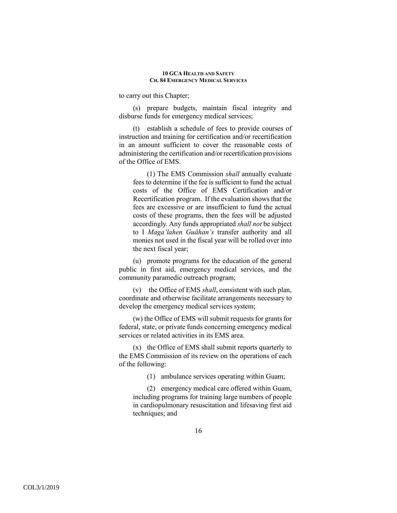to carry out this Chapter;

(s) prepare budgets, maintain fiscal integrity and disburse funds for emergency medical services;

(t) establish a schedule of fees to provide courses of instruction and training for certification and/or recertification in an amount sufficient to cover the reasonable costs of administering the certification and/or recertification provisions of the Office of EMS.

(1) The EMS Commission *shall* annually evaluate fees to determine if the fee is sufficient to fund the actual costs of the Office of EMS Certification and/or Recertification program. If the evaluation shows that the fees are excessive or are insufficient to fund the actual costs of these programs, then the fees will be adjusted accordingly. Any funds appropriated *shall not* be subject to I *Maga'lahen Guåhan's* transfer authority and all monies not used in the fiscal year will be rolled over into the next fiscal year;

(u) promote programs for the education of the general public in first aid, emergency medical services, and the community paramedic outreach program;

(v) the Office of EMS *shall*, consistent with such plan, coordinate and otherwise facilitate arrangements necessary to develop the emergency medical services system;

(w) the Office of EMS will submit requests for grants for federal, state, or private funds concerning emergency medical services or related activities in its EMS area.

(x) the Office of EMS shall submit reports quarterly to the EMS Commission of its review on the operations of each of the following:

(1) ambulance services operating within Guam;

(2) emergency medical care offered within Guam, including programs for training large numbers of people in cardiopulmonary resuscitation and lifesaving first aid techniques; and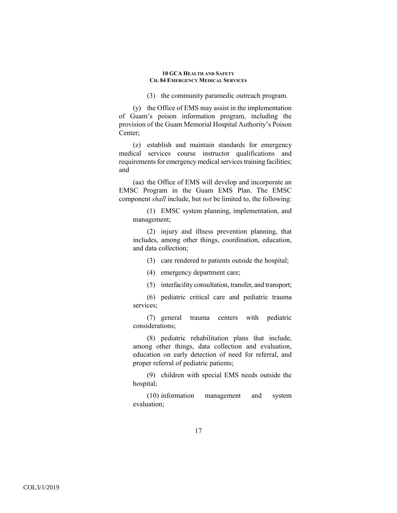(3) the community paramedic outreach program.

(y) the Office of EMS may assist in the implementation of Guam's poison information program, including the provision of the Guam Memorial Hospital Authority's Poison Center;

(z) establish and maintain standards for emergency medical services course instructor qualifications and requirements for emergency medical services training facilities; and

(aa) the Office of EMS will develop and incorporate an EMSC Program in the Guam EMS Plan. The EMSC component *shall* include, but *not* be limited to, the following:

(1) EMSC system planning, implementation, and management;

(2) injury and illness prevention planning, that includes, among other things, coordination, education, and data collection;

(3) care rendered to patients outside the hospital;

(4) emergency department care;

(5) interfacility consultation, transfer, and transport;

(6) pediatric critical care and pediatric trauma services;

(7) general trauma centers with pediatric considerations;

(8) pediatric rehabilitation plans that include, among other things, data collection and evaluation, education on early detection of need for referral, and proper referral of pediatric patients;

(9) children with special EMS needs outside the hospital;

(10) information management and system evaluation;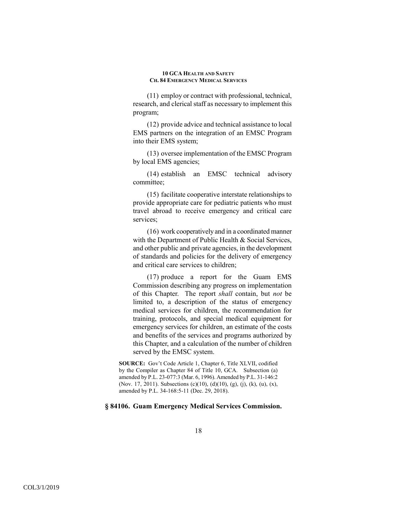(11) employ or contract with professional, technical, research, and clerical staff as necessary to implement this program;

(12) provide advice and technical assistance to local EMS partners on the integration of an EMSC Program into their EMS system;

(13) oversee implementation of the EMSC Program by local EMS agencies;

(14) establish an EMSC technical advisory committee;

(15) facilitate cooperative interstate relationships to provide appropriate care for pediatric patients who must travel abroad to receive emergency and critical care services;

(16) work cooperatively and in a coordinated manner with the Department of Public Health & Social Services, and other public and private agencies, in the development of standards and policies for the delivery of emergency and critical care services to children;

(17) produce a report for the Guam EMS Commission describing any progress on implementation of this Chapter. The report *shall* contain, but *not* be limited to, a description of the status of emergency medical services for children, the recommendation for training, protocols, and special medical equipment for emergency services for children, an estimate of the costs and benefits of the services and programs authorized by this Chapter, and a calculation of the number of children served by the EMSC system.

**SOURCE:** Gov't Code Article 1, Chapter 6, Title XLVII, codified by the Compiler as Chapter 84 of Title 10, GCA. Subsection (a) amended by P.L. 23-077:3 (Mar. 6, 1996). Amended by P.L. 31-146:2 (Nov. 17, 2011). Subsections (c)(10), (d)(10), (g), (j), (k), (u), (x), amended by P.L. 34-168:5-11 (Dec. 29, 2018).

# **§ 84106. Guam Emergency Medical Services Commission.**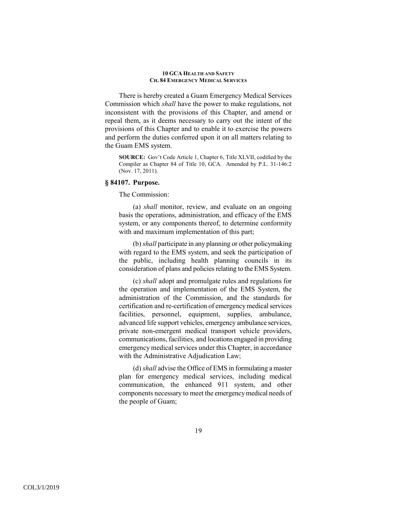There is hereby created a Guam Emergency Medical Services Commission which *shall* have the power to make regulations, not inconsistent with the provisions of this Chapter, and amend or repeal them, as it deems necessary to carry out the intent of the provisions of this Chapter and to enable it to exercise the powers and perform the duties conferred upon it on all matters relating to the Guam EMS system.

**SOURCE:** Gov't Code Article 1, Chapter 6, Title XLVII, codified by the Compiler as Chapter 84 of Title 10, GCA. Amended by P.L. 31-146:2 (Nov. 17, 2011).

# **§ 84107. Purpose.**

The Commission:

(a) *shall* monitor, review, and evaluate on an ongoing basis the operations, administration, and efficacy of the EMS system, or any components thereof, to determine conformity with and maximum implementation of this part;

(b) *shall* participate in any planning or other policymaking with regard to the EMS system, and seek the participation of the public, including health planning councils in its consideration of plans and policies relating to the EMS System.

(c) *shall* adopt and promulgate rules and regulations for the operation and implementation of the EMS System, the administration of the Commission, and the standards for certification and re-certification of emergency medical services facilities, personnel, equipment, supplies, ambulance, advanced life support vehicles, emergency ambulance services, private non-emergent medical transport vehicle providers, communications, facilities, and locations engaged in providing emergency medical services under this Chapter, in accordance with the Administrative Adjudication Law;

(d) *shall* advise the Office of EMS in formulating a master plan for emergency medical services, including medical communication, the enhanced 911 system, and other components necessary to meet the emergency medical needs of the people of Guam;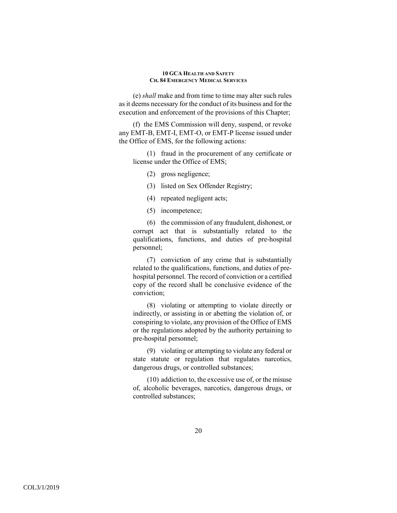(e) *shall* make and from time to time may alter such rules as it deems necessary for the conduct of its business and for the execution and enforcement of the provisions of this Chapter;

(f) the EMS Commission will deny, suspend, or revoke any EMT-B, EMT-I, EMT-O, or EMT-P license issued under the Office of EMS, for the following actions:

(1) fraud in the procurement of any certificate or license under the Office of EMS;

- (2) gross negligence;
- (3) listed on Sex Offender Registry;
- (4) repeated negligent acts;
- (5) incompetence;

(6) the commission of any fraudulent, dishonest, or corrupt act that is substantially related to the qualifications, functions, and duties of pre-hospital personnel;

(7) conviction of any crime that is substantially related to the qualifications, functions, and duties of prehospital personnel. The record of conviction or a certified copy of the record shall be conclusive evidence of the conviction;

(8) violating or attempting to violate directly or indirectly, or assisting in or abetting the violation of, or conspiring to violate, any provision of the Office of EMS or the regulations adopted by the authority pertaining to pre-hospital personnel;

(9) violating or attempting to violate any federal or state statute or regulation that regulates narcotics, dangerous drugs, or controlled substances;

(10) addiction to, the excessive use of, or the misuse of, alcoholic beverages, narcotics, dangerous drugs, or controlled substances;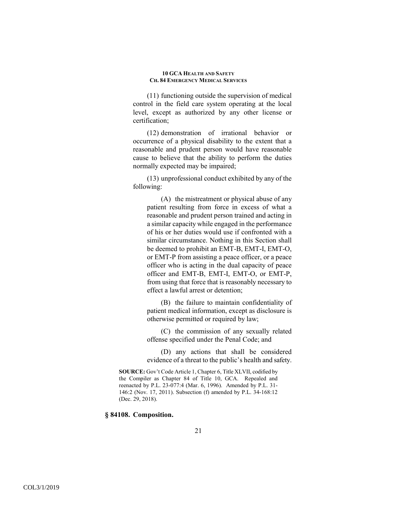(11) functioning outside the supervision of medical control in the field care system operating at the local level, except as authorized by any other license or certification;

(12) demonstration of irrational behavior or occurrence of a physical disability to the extent that a reasonable and prudent person would have reasonable cause to believe that the ability to perform the duties normally expected may be impaired;

(13) unprofessional conduct exhibited by any of the following:

(A) the mistreatment or physical abuse of any patient resulting from force in excess of what a reasonable and prudent person trained and acting in a similar capacity while engaged in the performance of his or her duties would use if confronted with a similar circumstance. Nothing in this Section shall be deemed to prohibit an EMT-B, EMT-I, EMT-O, or EMT-P from assisting a peace officer, or a peace officer who is acting in the dual capacity of peace officer and EMT-B, EMT-I, EMT-O, or EMT-P, from using that force that is reasonably necessary to effect a lawful arrest or detention;

(B) the failure to maintain confidentiality of patient medical information, except as disclosure is otherwise permitted or required by law;

(C) the commission of any sexually related offense specified under the Penal Code; and

(D) any actions that shall be considered evidence of a threat to the public's health and safety.

**SOURCE:** Gov't Code Article 1, Chapter 6, Title XLVII, codified by the Compiler as Chapter 84 of Title 10, GCA. Repealed and reenacted by P.L. 23-077:4 (Mar. 6, 1996). Amended by P.L. 31- 146:2 (Nov. 17, 2011). Subsection (f) amended by P.L. 34-168:12 (Dec. 29, 2018).

## **§ 84108. Composition.**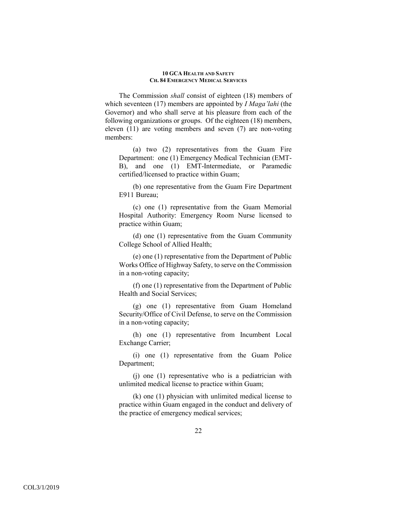The Commission *shall* consist of eighteen (18) members of which seventeen (17) members are appointed by *I Maga'lahi* (the Governor) and who shall serve at his pleasure from each of the following organizations or groups. Of the eighteen (18) members, eleven (11) are voting members and seven (7) are non-voting members:

(a) two (2) representatives from the Guam Fire Department: one (1) Emergency Medical Technician (EMT-B), and one (1) EMT-Intermediate, or Paramedic certified/licensed to practice within Guam;

(b) one representative from the Guam Fire Department E911 Bureau;

(c) one (1) representative from the Guam Memorial Hospital Authority: Emergency Room Nurse licensed to practice within Guam;

(d) one (1) representative from the Guam Community College School of Allied Health;

(e) one (1) representative from the Department of Public Works Office of Highway Safety, to serve on the Commission in a non-voting capacity;

(f) one (1) representative from the Department of Public Health and Social Services;

(g) one (1) representative from Guam Homeland Security/Office of Civil Defense, to serve on the Commission in a non-voting capacity;

(h) one (1) representative from Incumbent Local Exchange Carrier;

(i) one (1) representative from the Guam Police Department;

(j) one (1) representative who is a pediatrician with unlimited medical license to practice within Guam;

(k) one (1) physician with unlimited medical license to practice within Guam engaged in the conduct and delivery of the practice of emergency medical services;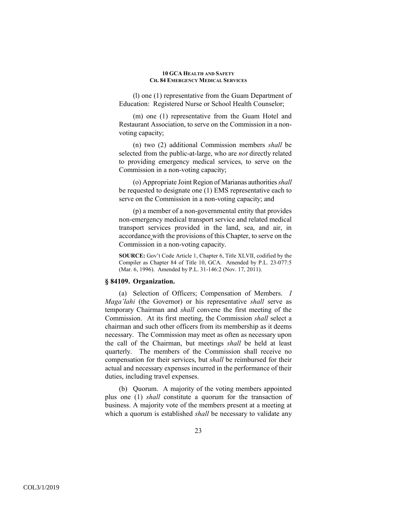(l) one (1) representative from the Guam Department of Education: Registered Nurse or School Health Counselor;

(m) one (1) representative from the Guam Hotel and Restaurant Association, to serve on the Commission in a nonvoting capacity;

(n) two (2) additional Commission members *shall* be selected from the public-at-large, who are *not* directly related to providing emergency medical services, to serve on the Commission in a non-voting capacity;

(o) Appropriate Joint Region of Marianas authorities *shall* be requested to designate one (1) EMS representative each to serve on the Commission in a non-voting capacity; and

(p) a member of a non-governmental entity that provides non-emergency medical transport service and related medical transport services provided in the land, sea, and air, in accordance with the provisions of this Chapter, to serve on the Commission in a non-voting capacity.

**SOURCE:** Gov't Code Article 1, Chapter 6, Title XLVII, codified by the Compiler as Chapter 84 of Title 10, GCA. Amended by P.L. 23-077:5 (Mar. 6, 1996). Amended by P.L. 31-146:2 (Nov. 17, 2011).

# **§ 84109. Organization.**

(a) Selection of Officers; Compensation of Members. *I Maga'lahi* (the Governor) or his representative *shall* serve as temporary Chairman and *shall* convene the first meeting of the Commission. At its first meeting, the Commission *shall* select a chairman and such other officers from its membership as it deems necessary. The Commission may meet as often as necessary upon the call of the Chairman, but meetings *shall* be held at least quarterly. The members of the Commission shall receive no compensation for their services, but *shall* be reimbursed for their actual and necessary expenses incurred in the performance of their duties, including travel expenses.

(b) Quorum. A majority of the voting members appointed plus one (1) *shall* constitute a quorum for the transaction of business. A majority vote of the members present at a meeting at which a quorum is established *shall* be necessary to validate any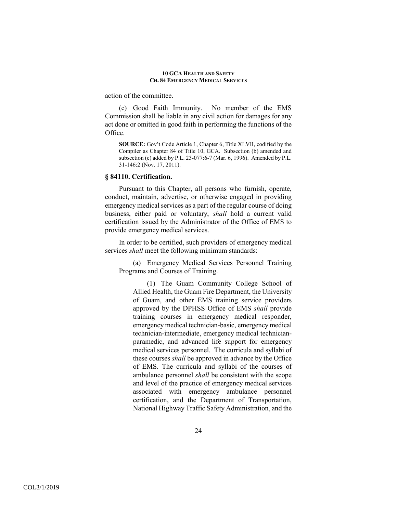action of the committee.

(c) Good Faith Immunity. No member of the EMS Commission shall be liable in any civil action for damages for any act done or omitted in good faith in performing the functions of the Office.

**SOURCE:** Gov't Code Article 1, Chapter 6, Title XLVII, codified by the Compiler as Chapter 84 of Title 10, GCA. Subsection (b) amended and subsection (c) added by P.L. 23-077:6-7 (Mar. 6, 1996). Amended by P.L. 31-146:2 (Nov. 17, 2011).

### **§ 84110. Certification.**

Pursuant to this Chapter, all persons who furnish, operate, conduct, maintain, advertise, or otherwise engaged in providing emergency medical services as a part of the regular course of doing business, either paid or voluntary, *shall* hold a current valid certification issued by the Administrator of the Office of EMS to provide emergency medical services.

In order to be certified, such providers of emergency medical services *shall* meet the following minimum standards:

(a) Emergency Medical Services Personnel Training Programs and Courses of Training.

(1) The Guam Community College School of Allied Health, the Guam Fire Department, the University of Guam, and other EMS training service providers approved by the DPHSS Office of EMS *shall* provide training courses in emergency medical responder, emergency medical technician-basic, emergency medical technician-intermediate, emergency medical technicianparamedic, and advanced life support for emergency medical services personnel. The curricula and syllabi of these courses *shall* be approved in advance by the Office of EMS. The curricula and syllabi of the courses of ambulance personnel *shall* be consistent with the scope and level of the practice of emergency medical services associated with emergency ambulance personnel certification, and the Department of Transportation, National Highway Traffic Safety Administration, and the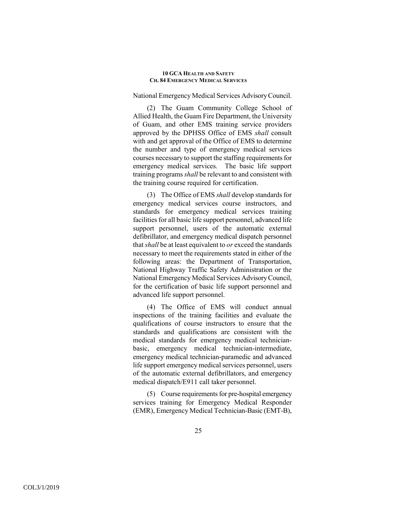National Emergency Medical Services Advisory Council.

(2) The Guam Community College School of Allied Health, the Guam Fire Department, the University of Guam, and other EMS training service providers approved by the DPHSS Office of EMS *shall* consult with and get approval of the Office of EMS to determine the number and type of emergency medical services courses necessary to support the staffing requirements for emergency medical services. The basic life support training programs *shall* be relevant to and consistent with the training course required for certification.

(3) The Office of EMS *shall* develop standards for emergency medical services course instructors, and standards for emergency medical services training facilities for all basic life support personnel, advanced life support personnel, users of the automatic external defibrillator, and emergency medical dispatch personnel that *shall* be at least equivalent to *or* exceed the standards necessary to meet the requirements stated in either of the following areas: the Department of Transportation, National Highway Traffic Safety Administration or the National Emergency Medical Services Advisory Council, for the certification of basic life support personnel and advanced life support personnel.

(4) The Office of EMS will conduct annual inspections of the training facilities and evaluate the qualifications of course instructors to ensure that the standards and qualifications are consistent with the medical standards for emergency medical technicianbasic, emergency medical technician-intermediate, emergency medical technician-paramedic and advanced life support emergency medical services personnel, users of the automatic external defibrillators, and emergency medical dispatch/E911 call taker personnel.

(5) Course requirements for pre-hospital emergency services training for Emergency Medical Responder (EMR), Emergency Medical Technician-Basic (EMT-B),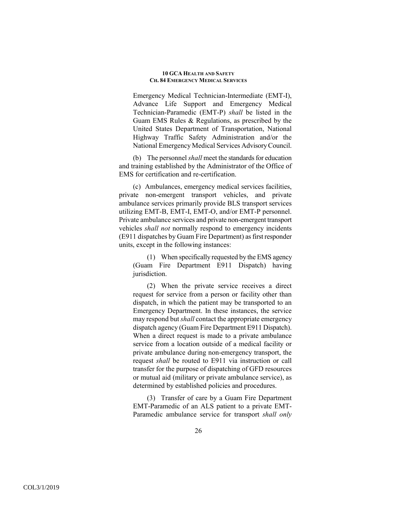Emergency Medical Technician-Intermediate (EMT-I), Advance Life Support and Emergency Medical Technician-Paramedic (EMT-P) *shall* be listed in the Guam EMS Rules & Regulations, as prescribed by the United States Department of Transportation, National Highway Traffic Safety Administration and/or the National Emergency Medical Services Advisory Council.

(b) The personnel *shall* meet the standards for education and training established by the Administrator of the Office of EMS for certification and re-certification.

(c) Ambulances, emergency medical services facilities, private non-emergent transport vehicles, and private ambulance services primarily provide BLS transport services utilizing EMT-B, EMT-I, EMT-O, and/or EMT-P personnel. Private ambulance services and private non-emergent transport vehicles *shall not* normally respond to emergency incidents (E911 dispatches by Guam Fire Department) as first responder units, except in the following instances:

(1) When specifically requested by the EMS agency (Guam Fire Department E911 Dispatch) having jurisdiction.

(2) When the private service receives a direct request for service from a person or facility other than dispatch, in which the patient may be transported to an Emergency Department. In these instances, the service may respond but *shall* contact the appropriate emergency dispatch agency (Guam Fire Department E911 Dispatch). When a direct request is made to a private ambulance service from a location outside of a medical facility or private ambulance during non-emergency transport, the request *shall* be routed to E911 via instruction or call transfer for the purpose of dispatching of GFD resources or mutual aid (military or private ambulance service), as determined by established policies and procedures.

(3) Transfer of care by a Guam Fire Department EMT-Paramedic of an ALS patient to a private EMT-Paramedic ambulance service for transport *shall only*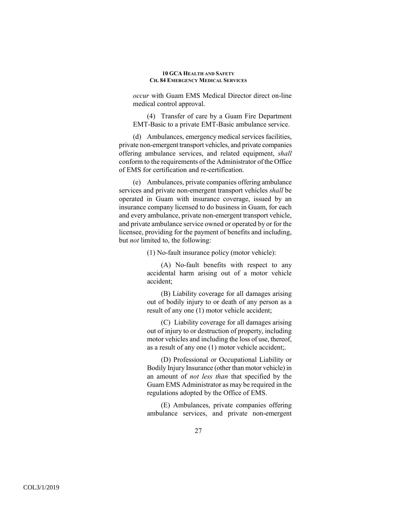*occur* with Guam EMS Medical Director direct on-line medical control approval.

(4) Transfer of care by a Guam Fire Department EMT-Basic to a private EMT-Basic ambulance service.

(d) Ambulances, emergency medical services facilities, private non-emergent transport vehicles, and private companies offering ambulance services, and related equipment, *shall* conform to the requirements of the Administrator of the Office of EMS for certification and re-certification.

(e) Ambulances, private companies offering ambulance services and private non-emergent transport vehicles *shall* be operated in Guam with insurance coverage, issued by an insurance company licensed to do business in Guam, for each and every ambulance, private non-emergent transport vehicle, and private ambulance service owned or operated by or for the licensee, providing for the payment of benefits and including, but *not* limited to, the following:

(1) No-fault insurance policy (motor vehicle):

(A) No-fault benefits with respect to any accidental harm arising out of a motor vehicle accident;

(B) Liability coverage for all damages arising out of bodily injury to or death of any person as a result of any one (1) motor vehicle accident;

(C) Liability coverage for all damages arising out of injury to or destruction of property, including motor vehicles and including the loss of use, thereof, as a result of any one (1) motor vehicle accident;.

(D) Professional or Occupational Liability or Bodily Injury Insurance (other than motor vehicle) in an amount of *not less than* that specified by the Guam EMS Administrator as may be required in the regulations adopted by the Office of EMS.

(E) Ambulances, private companies offering ambulance services, and private non-emergent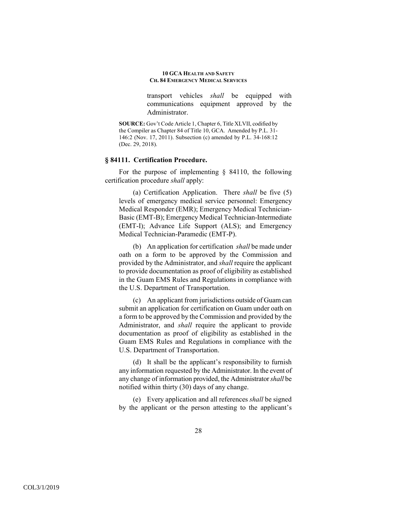transport vehicles *shall* be equipped with communications equipment approved by the Administrator.

**SOURCE:** Gov't Code Article 1, Chapter 6, Title XLVII, codified by the Compiler as Chapter 84 of Title 10, GCA. Amended by P.L. 31- 146:2 (Nov. 17, 2011). Subsection (c) amended by P.L. 34-168:12 (Dec. 29, 2018).

## **§ 84111. Certification Procedure.**

For the purpose of implementing § 84110, the following certification procedure *shall* apply:

(a) Certification Application. There *shall* be five (5) levels of emergency medical service personnel: Emergency Medical Responder (EMR); Emergency Medical Technician-Basic (EMT-B); Emergency Medical Technician-Intermediate (EMT-I); Advance Life Support (ALS); and Emergency Medical Technician-Paramedic (EMT-P).

(b) An application for certification *shall* be made under oath on a form to be approved by the Commission and provided by the Administrator, and *shall* require the applicant to provide documentation as proof of eligibility as established in the Guam EMS Rules and Regulations in compliance with the U.S. Department of Transportation.

(c) An applicant from jurisdictions outside of Guam can submit an application for certification on Guam under oath on a form to be approved by the Commission and provided by the Administrator, and *shall* require the applicant to provide documentation as proof of eligibility as established in the Guam EMS Rules and Regulations in compliance with the U.S. Department of Transportation.

(d) It shall be the applicant's responsibility to furnish any information requested by the Administrator. In the event of any change of information provided, the Administrator *shall* be notified within thirty (30) days of any change.

(e) Every application and all references *shall* be signed by the applicant or the person attesting to the applicant's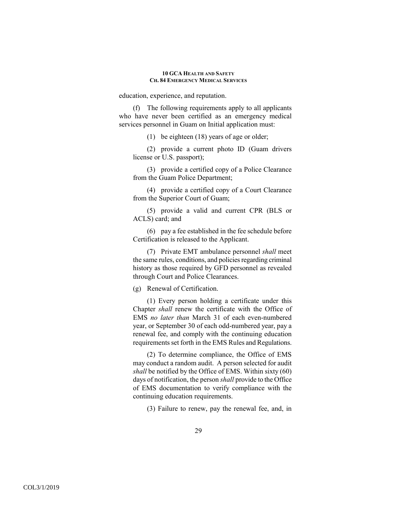education, experience, and reputation.

(f) The following requirements apply to all applicants who have never been certified as an emergency medical services personnel in Guam on Initial application must:

(1) be eighteen (18) years of age or older;

(2) provide a current photo ID (Guam drivers license or U.S. passport);

(3) provide a certified copy of a Police Clearance from the Guam Police Department;

(4) provide a certified copy of a Court Clearance from the Superior Court of Guam;

(5) provide a valid and current CPR (BLS or ACLS) card; and

(6) pay a fee established in the fee schedule before Certification is released to the Applicant.

(7) Private EMT ambulance personnel *shall* meet the same rules, conditions, and policies regarding criminal history as those required by GFD personnel as revealed through Court and Police Clearances.

(g) Renewal of Certification.

(1) Every person holding a certificate under this Chapter *shall* renew the certificate with the Office of EMS *no later than* March 31 of each even-numbered year, or September 30 of each odd-numbered year, pay a renewal fee, and comply with the continuing education requirements set forth in the EMS Rules and Regulations.

(2) To determine compliance, the Office of EMS may conduct a random audit. A person selected for audit *shall* be notified by the Office of EMS. Within sixty (60) days of notification, the person *shall* provide to the Office of EMS documentation to verify compliance with the continuing education requirements.

(3) Failure to renew, pay the renewal fee, and, in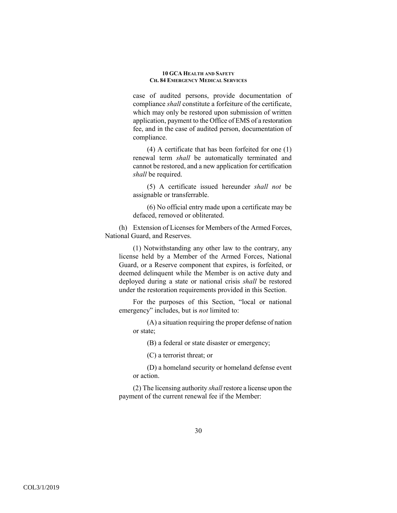case of audited persons, provide documentation of compliance *shall* constitute a forfeiture of the certificate, which may only be restored upon submission of written application, payment to the Office of EMS of a restoration fee, and in the case of audited person, documentation of compliance.

(4) A certificate that has been forfeited for one (1) renewal term *shall* be automatically terminated and cannot be restored, and a new application for certification *shall* be required.

(5) A certificate issued hereunder *shall not* be assignable or transferrable.

(6) No official entry made upon a certificate may be defaced, removed or obliterated.

(h) Extension of Licenses for Members of the Armed Forces, National Guard, and Reserves.

(1) Notwithstanding any other law to the contrary, any license held by a Member of the Armed Forces, National Guard, or a Reserve component that expires, is forfeited, or deemed delinquent while the Member is on active duty and deployed during a state or national crisis *shall* be restored under the restoration requirements provided in this Section.

For the purposes of this Section, "local or national emergency" includes, but is *not* limited to:

(A) a situation requiring the proper defense of nation or state;

(B) a federal or state disaster or emergency;

(C) a terrorist threat; or

(D) a homeland security or homeland defense event or action.

(2) The licensing authority *shall* restore a license upon the payment of the current renewal fee if the Member: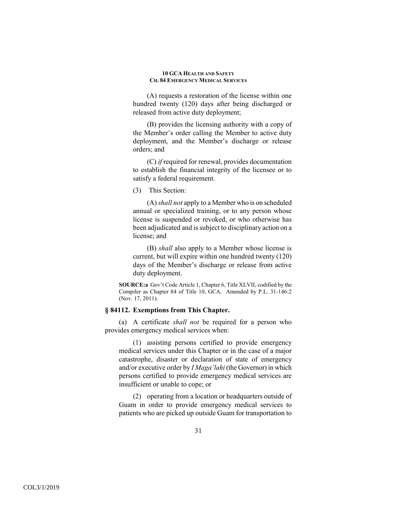(A) requests a restoration of the license within one hundred twenty (120) days after being discharged or released from active duty deployment;

(B) provides the licensing authority with a copy of the Member's order calling the Member to active duty deployment, and the Member's discharge or release orders; and

(C) *if* required for renewal, provides documentation to establish the financial integrity of the licensee or to satisfy a federal requirement.

(3) This Section:

(A) *shall not* apply to a Member who is on scheduled annual or specialized training, or to any person whose license is suspended or revoked, or who otherwise has been adjudicated and is subject to disciplinary action on a license; and

(B) *shall* also apply to a Member whose license is current, but will expire within one hundred twenty (120) days of the Member's discharge or release from active duty deployment.

**SOURCE:a** Gov't Code Article 1, Chapter 6, Title XLVII, codified by the Compiler as Chapter 84 of Title 10, GCA. Amended by P.L. 31-146:2 (Nov. 17, 2011).

# **§ 84112. Exemptions from This Chapter.**

(a) A certificate *shall not* be required for a person who provides emergency medical services when:

(1) assisting persons certified to provide emergency medical services under this Chapter or in the case of a major catastrophe, disaster or declaration of state of emergency and/or executive order by *I Maga'lahi* (the Governor) in which persons certified to provide emergency medical services are insufficient or unable to cope; or

(2) operating from a location or headquarters outside of Guam in order to provide emergency medical services to patients who are picked up outside Guam for transportation to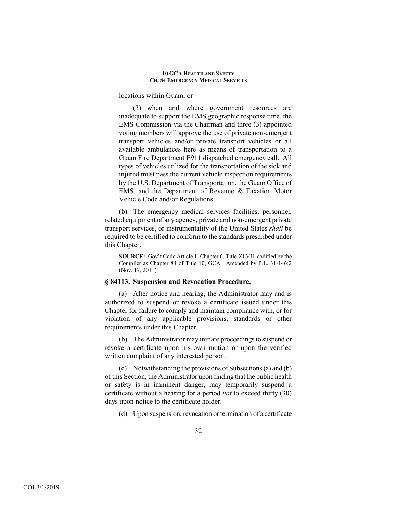locations within Guam; or

(3) when and where government resources are inadequate to support the EMS geographic response time, the EMS Commission via the Chairman and three (3) appointed voting members will approve the use of private non-emergent transport vehicles and/or private transport vehicles or all available ambulances here as means of transportation to a Guam Fire Department E911 dispatched emergency call. All types of vehicles utilized for the transportation of the sick and injured must pass the current vehicle inspection requirements by the U.S. Department of Transportation, the Guam Office of EMS, and the Department of Revenue & Taxation Motor Vehicle Code and/or Regulations.

(b) The emergency medical services facilities, personnel, related equipment of any agency, private and non-emergent private transport services, or instrumentality of the United States *shall* be required to be certified to conform to the standards prescribed under this Chapter.

**SOURCE:** Gov't Code Article 1, Chapter 6, Title XLVII, codified by the Compiler as Chapter 84 of Title 10, GCA. Amended by P.L. 31-146:2 (Nov. 17, 2011).

## **§ 84113. Suspension and Revocation Procedure.**

(a) After notice and hearing, the Administrator may and is authorized to suspend or revoke a certificate issued under this Chapter for failure to comply and maintain compliance with, or for violation of any applicable provisions, standards or other requirements under this Chapter.

(b) The Administrator may initiate proceedings to suspend or revoke a certificate upon his own motion or upon the verified written complaint of any interested person.

(c) Notwithstanding the provisions of Subsections (a) and (b) of this Section, the Administrator upon finding that the public health or safety is in imminent danger, may temporarily suspend a certificate without a hearing for a period *not* to exceed thirty (30) days upon notice to the certificate holder.

(d) Upon suspension, revocation or termination of a certificate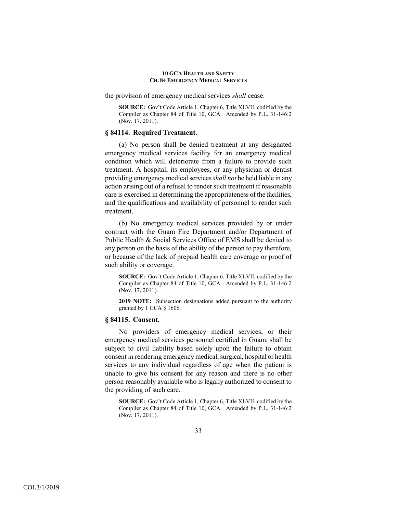the provision of emergency medical services *shall* cease.

**SOURCE:** Gov't Code Article 1, Chapter 6, Title XLVII, codified by the Compiler as Chapter 84 of Title 10, GCA. Amended by P.L. 31-146:2 (Nov. 17, 2011).

## **§ 84114. Required Treatment.**

(a) No person shall be denied treatment at any designated emergency medical services facility for an emergency medical condition which will deteriorate from a failure to provide such treatment. A hospital, its employees, or any physician or dentist providing emergency medical services *shall not* be held liable in any action arising out of a refusal to render such treatment if reasonable care is exercised in determining the appropriateness of the facilities, and the qualifications and availability of personnel to render such treatment.

(b) No emergency medical services provided by or under contract with the Guam Fire Department and/or Department of Public Health & Social Services Office of EMS shall be denied to any person on the basis of the ability of the person to pay therefore, or because of the lack of prepaid health care coverage or proof of such ability or coverage.

**SOURCE:** Gov't Code Article 1, Chapter 6, Title XLVII, codified by the Compiler as Chapter 84 of Title 10, GCA. Amended by P.L. 31-146:2 (Nov. 17, 2011).

**2019 NOTE:** Subsection designations added pursuant to the authority granted by 1 GCA § 1606.

### **§ 84115. Consent.**

No providers of emergency medical services, or their emergency medical services personnel certified in Guam, shall be subject to civil liability based solely upon the failure to obtain consent in rendering emergency medical, surgical, hospital or health services to any individual regardless of age when the patient is unable to give his consent for any reason and there is no other person reasonably available who is legally authorized to consent to the providing of such care.

**SOURCE:** Gov't Code Article 1, Chapter 6, Title XLVII, codified by the Compiler as Chapter 84 of Title 10, GCA. Amended by P.L. 31-146:2 (Nov. 17, 2011).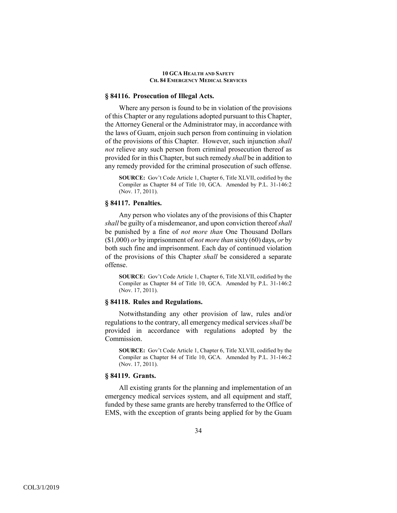## **§ 84116. Prosecution of Illegal Acts.**

Where any person is found to be in violation of the provisions of this Chapter or any regulations adopted pursuant to this Chapter, the Attorney General or the Administrator may, in accordance with the laws of Guam, enjoin such person from continuing in violation of the provisions of this Chapter. However, such injunction *shall not* relieve any such person from criminal prosecution thereof as provided for in this Chapter, but such remedy *shall* be in addition to any remedy provided for the criminal prosecution of such offense.

**SOURCE:** Gov't Code Article 1, Chapter 6, Title XLVII, codified by the Compiler as Chapter 84 of Title 10, GCA. Amended by P.L. 31-146:2 (Nov. 17, 2011).

# **§ 84117. Penalties.**

Any person who violates any of the provisions of this Chapter *shall* be guilty of a misdemeanor, and upon conviction thereof *shall* be punished by a fine of *not more than* One Thousand Dollars (\$1,000) *or* by imprisonment of *not more than* sixty (60) days, *or* by both such fine and imprisonment. Each day of continued violation of the provisions of this Chapter *shall* be considered a separate offense.

**SOURCE:** Gov't Code Article 1, Chapter 6, Title XLVII, codified by the Compiler as Chapter 84 of Title 10, GCA. Amended by P.L. 31-146:2 (Nov. 17, 2011).

## **§ 84118. Rules and Regulations.**

Notwithstanding any other provision of law, rules and/or regulations to the contrary, all emergency medical services *shall* be provided in accordance with regulations adopted by the Commission.

**SOURCE:** Gov't Code Article 1, Chapter 6, Title XLVII, codified by the Compiler as Chapter 84 of Title 10, GCA. Amended by P.L. 31-146:2 (Nov. 17, 2011).

## **§ 84119. Grants.**

All existing grants for the planning and implementation of an emergency medical services system, and all equipment and staff, funded by these same grants are hereby transferred to the Office of EMS, with the exception of grants being applied for by the Guam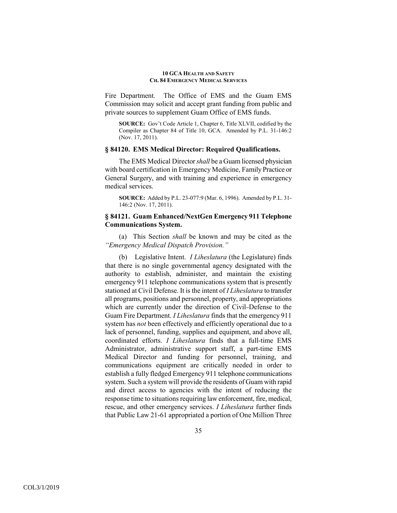Fire Department. The Office of EMS and the Guam EMS Commission may solicit and accept grant funding from public and private sources to supplement Guam Office of EMS funds.

**SOURCE:** Gov't Code Article 1, Chapter 6, Title XLVII, codified by the Compiler as Chapter 84 of Title 10, GCA. Amended by P.L. 31-146:2 (Nov. 17, 2011).

### **§ 84120. EMS Medical Director: Required Qualifications.**

The EMS Medical Director *shall* be a Guam licensed physician with board certification in Emergency Medicine, Family Practice or General Surgery, and with training and experience in emergency medical services.

**SOURCE:** Added by P.L. 23-077:9 (Mar. 6, 1996). Amended by P.L. 31- 146:2 (Nov. 17, 2011).

# **§ 84121. Guam Enhanced/NextGen Emergency 911 Telephone Communications System.**

(a) This Section *shall* be known and may be cited as the *"Emergency Medical Dispatch Provision."*

(b)Legislative Intent. *I Liheslatura* (the Legislature) finds that there is no single governmental agency designated with the authority to establish, administer, and maintain the existing emergency 911 telephone communications system that is presently stationed at Civil Defense. It is the intent of *I Liheslatura* to transfer all programs, positions and personnel, property, and appropriations which are currently under the direction of Civil-Defense to the Guam Fire Department. *I Liheslatura* finds that the emergency 911 system has *not* been effectively and efficiently operational due to a lack of personnel, funding, supplies and equipment, and above all, coordinated efforts. *I Liheslatura* finds that a full-time EMS Administrator, administrative support staff, a part-time EMS Medical Director and funding for personnel, training, and communications equipment are critically needed in order to establish a fully fledged Emergency 911 telephone communications system. Such a system will provide the residents of Guam with rapid and direct access to agencies with the intent of reducing the response time to situations requiring law enforcement, fire, medical, rescue, and other emergency services. *I Liheslatura* further finds that Public Law 21-61 appropriated a portion of One Million Three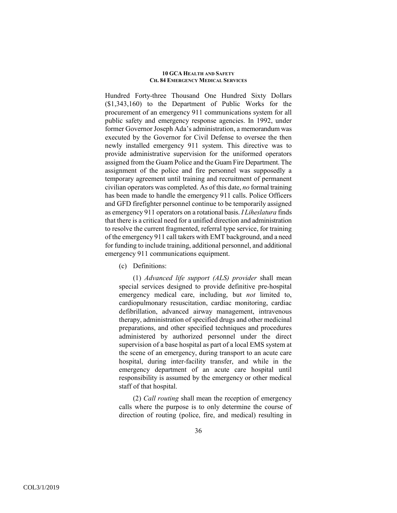Hundred Forty-three Thousand One Hundred Sixty Dollars (\$1,343,160) to the Department of Public Works for the procurement of an emergency 911 communications system for all public safety and emergency response agencies. In 1992, under former Governor Joseph Ada's administration, a memorandum was executed by the Governor for Civil Defense to oversee the then newly installed emergency 911 system. This directive was to provide administrative supervision for the uniformed operators assigned from the Guam Police and the Guam Fire Department. The assignment of the police and fire personnel was supposedly a temporary agreement until training and recruitment of permanent civilian operators was completed. As of this date, *no* formal training has been made to handle the emergency 911 calls. Police Officers and GFD firefighter personnel continue to be temporarily assigned as emergency 911 operators on a rotational basis. *I Liheslatura* finds that there is a critical need for a unified direction and administration to resolve the current fragmented, referral type service, for training of the emergency 911 call takers with EMT background, and a need for funding to include training, additional personnel, and additional emergency 911 communications equipment.

(c) Definitions:

(1) *Advanced life support (ALS) provider* shall mean special services designed to provide definitive pre-hospital emergency medical care, including, but *not* limited to, cardiopulmonary resuscitation, cardiac monitoring, cardiac defibrillation, advanced airway management, intravenous therapy, administration of specified drugs and other medicinal preparations, and other specified techniques and procedures administered by authorized personnel under the direct supervision of a base hospital as part of a local EMS system at the scene of an emergency, during transport to an acute care hospital, during inter-facility transfer, and while in the emergency department of an acute care hospital until responsibility is assumed by the emergency or other medical staff of that hospital.

(2) *Call routing* shall mean the reception of emergency calls where the purpose is to only determine the course of direction of routing (police, fire, and medical) resulting in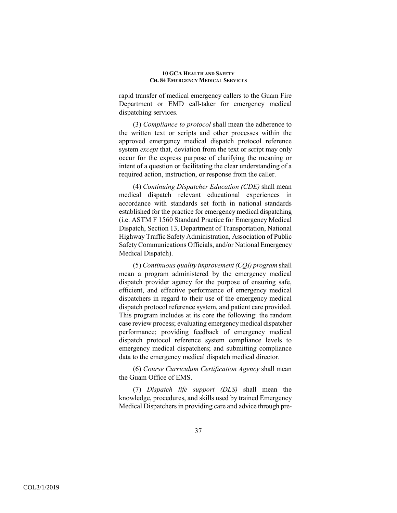rapid transfer of medical emergency callers to the Guam Fire Department or EMD call-taker for emergency medical dispatching services.

(3) *Compliance to protocol* shall mean the adherence to the written text or scripts and other processes within the approved emergency medical dispatch protocol reference system *except* that, deviation from the text or script may only occur for the express purpose of clarifying the meaning or intent of a question or facilitating the clear understanding of a required action, instruction, or response from the caller.

(4) *Continuing Dispatcher Education (CDE)* shall mean medical dispatch relevant educational experiences in accordance with standards set forth in national standards established for the practice for emergency medical dispatching (i.e. ASTM F 1560 Standard Practice for Emergency Medical Dispatch, Section 13, Department of Transportation, National Highway Traffic Safety Administration, Association of Public Safety Communications Officials, and/or National Emergency Medical Dispatch).

(5) *Continuous quality improvement (CQI) program* shall mean a program administered by the emergency medical dispatch provider agency for the purpose of ensuring safe, efficient, and effective performance of emergency medical dispatchers in regard to their use of the emergency medical dispatch protocol reference system, and patient care provided. This program includes at its core the following: the random case review process; evaluating emergency medical dispatcher performance; providing feedback of emergency medical dispatch protocol reference system compliance levels to emergency medical dispatchers; and submitting compliance data to the emergency medical dispatch medical director.

(6) *Course Curriculum Certification Agency* shall mean the Guam Office of EMS.

(7) *Dispatch life support (DLS)* shall mean the knowledge, procedures, and skills used by trained Emergency Medical Dispatchers in providing care and advice through pre-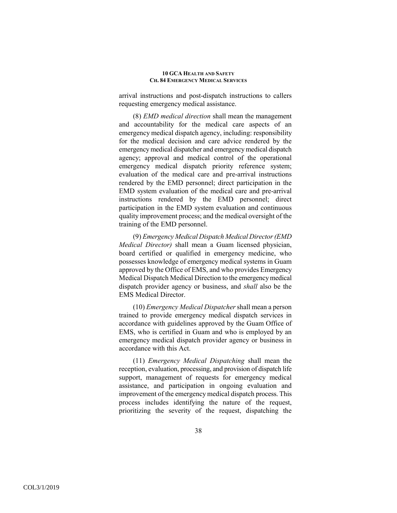arrival instructions and post-dispatch instructions to callers requesting emergency medical assistance.

(8) *EMD medical direction* shall mean the management and accountability for the medical care aspects of an emergency medical dispatch agency, including: responsibility for the medical decision and care advice rendered by the emergency medical dispatcher and emergency medical dispatch agency; approval and medical control of the operational emergency medical dispatch priority reference system; evaluation of the medical care and pre-arrival instructions rendered by the EMD personnel; direct participation in the EMD system evaluation of the medical care and pre-arrival instructions rendered by the EMD personnel; direct participation in the EMD system evaluation and continuous quality improvement process; and the medical oversight of the training of the EMD personnel.

(9) *Emergency Medical Dispatch Medical Director (EMD Medical Director)* shall mean a Guam licensed physician, board certified or qualified in emergency medicine, who possesses knowledge of emergency medical systems in Guam approved by the Office of EMS, and who provides Emergency Medical Dispatch Medical Direction to the emergency medical dispatch provider agency or business, and *shall* also be the EMS Medical Director.

(10) *Emergency Medical Dispatcher* shall mean a person trained to provide emergency medical dispatch services in accordance with guidelines approved by the Guam Office of EMS, who is certified in Guam and who is employed by an emergency medical dispatch provider agency or business in accordance with this Act.

(11) *Emergency Medical Dispatching* shall mean the reception, evaluation, processing, and provision of dispatch life support, management of requests for emergency medical assistance, and participation in ongoing evaluation and improvement of the emergency medical dispatch process. This process includes identifying the nature of the request, prioritizing the severity of the request, dispatching the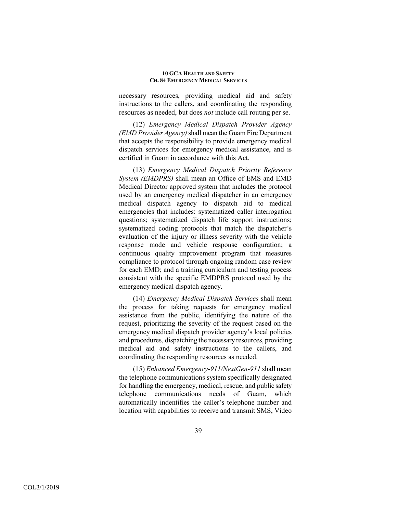necessary resources, providing medical aid and safety instructions to the callers, and coordinating the responding resources as needed, but does *not* include call routing per se.

(12) *Emergency Medical Dispatch Provider Agency (EMD Provider Agency)* shall mean the Guam Fire Department that accepts the responsibility to provide emergency medical dispatch services for emergency medical assistance, and is certified in Guam in accordance with this Act.

(13) *Emergency Medical Dispatch Priority Reference System (EMDPRS)* shall mean an Office of EMS and EMD Medical Director approved system that includes the protocol used by an emergency medical dispatcher in an emergency medical dispatch agency to dispatch aid to medical emergencies that includes: systematized caller interrogation questions; systematized dispatch life support instructions; systematized coding protocols that match the dispatcher's evaluation of the injury or illness severity with the vehicle response mode and vehicle response configuration; a continuous quality improvement program that measures compliance to protocol through ongoing random case review for each EMD; and a training curriculum and testing process consistent with the specific EMDPRS protocol used by the emergency medical dispatch agency.

(14) *Emergency Medical Dispatch Services* shall mean the process for taking requests for emergency medical assistance from the public, identifying the nature of the request, prioritizing the severity of the request based on the emergency medical dispatch provider agency's local policies and procedures, dispatching the necessary resources, providing medical aid and safety instructions to the callers, and coordinating the responding resources as needed.

(15) *Enhanced Emergency-911/NextGen-911* shall mean the telephone communications system specifically designated for handling the emergency, medical, rescue, and public safety telephone communications needs of Guam, which automatically indentifies the caller's telephone number and location with capabilities to receive and transmit SMS, Video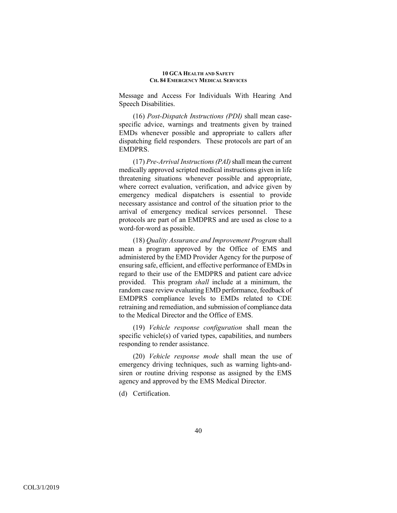Message and Access For Individuals With Hearing And Speech Disabilities.

(16) *Post-Dispatch Instructions (PDI)* shall mean casespecific advice, warnings and treatments given by trained EMDs whenever possible and appropriate to callers after dispatching field responders. These protocols are part of an EMDPRS.

(17) *Pre-Arrival Instructions (PAI)* shall mean the current medically approved scripted medical instructions given in life threatening situations whenever possible and appropriate, where correct evaluation, verification, and advice given by emergency medical dispatchers is essential to provide necessary assistance and control of the situation prior to the arrival of emergency medical services personnel. These protocols are part of an EMDPRS and are used as close to a word-for-word as possible.

(18) *Quality Assurance and Improvement Program* shall mean a program approved by the Office of EMS and administered by the EMD Provider Agency for the purpose of ensuring safe, efficient, and effective performance of EMDs in regard to their use of the EMDPRS and patient care advice provided. This program *shall* include at a minimum, the random case review evaluating EMD performance, feedback of EMDPRS compliance levels to EMDs related to CDE retraining and remediation, and submission of compliance data to the Medical Director and the Office of EMS.

(19) *Vehicle response configuration* shall mean the specific vehicle(s) of varied types, capabilities, and numbers responding to render assistance.

(20) *Vehicle response mode* shall mean the use of emergency driving techniques, such as warning lights-andsiren or routine driving response as assigned by the EMS agency and approved by the EMS Medical Director.

(d) Certification.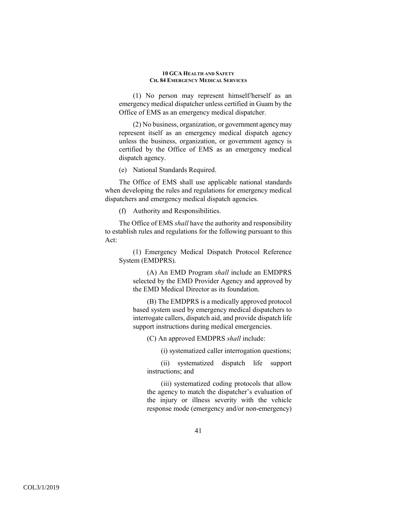(1) No person may represent himself/herself as an emergency medical dispatcher unless certified in Guam by the Office of EMS as an emergency medical dispatcher.

(2) No business, organization, or government agency may represent itself as an emergency medical dispatch agency unless the business, organization, or government agency is certified by the Office of EMS as an emergency medical dispatch agency.

(e) National Standards Required.

The Office of EMS shall use applicable national standards when developing the rules and regulations for emergency medical dispatchers and emergency medical dispatch agencies.

(f) Authority and Responsibilities.

The Office of EMS *shall* have the authority and responsibility to establish rules and regulations for the following pursuant to this Act:

(1) Emergency Medical Dispatch Protocol Reference System (EMDPRS).

(A) An EMD Program *shall* include an EMDPRS selected by the EMD Provider Agency and approved by the EMD Medical Director as its foundation.

(B) The EMDPRS is a medically approved protocol based system used by emergency medical dispatchers to interrogate callers, dispatch aid, and provide dispatch life support instructions during medical emergencies.

(C) An approved EMDPRS *shall* include:

(i) systematized caller interrogation questions;

(ii) systematized dispatch life support instructions; and

(iii) systematized coding protocols that allow the agency to match the dispatcher's evaluation of the injury or illness severity with the vehicle response mode (emergency and/or non-emergency)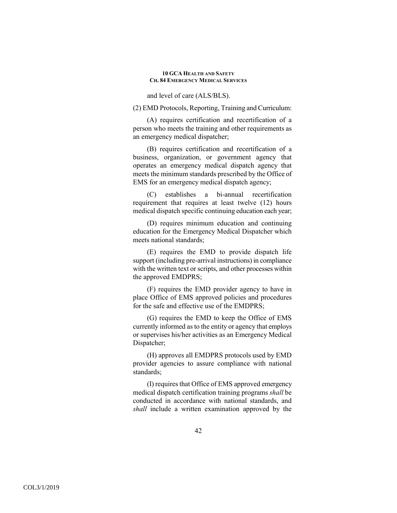and level of care (ALS/BLS).

(2) EMD Protocols, Reporting, Training and Curriculum:

(A) requires certification and recertification of a person who meets the training and other requirements as an emergency medical dispatcher;

(B) requires certification and recertification of a business, organization, or government agency that operates an emergency medical dispatch agency that meets the minimum standards prescribed by the Office of EMS for an emergency medical dispatch agency;

(C) establishes a bi-annual recertification requirement that requires at least twelve (12) hours medical dispatch specific continuing education each year;

(D) requires minimum education and continuing education for the Emergency Medical Dispatcher which meets national standards;

(E) requires the EMD to provide dispatch life support (including pre-arrival instructions) in compliance with the written text or scripts, and other processes within the approved EMDPRS;

(F) requires the EMD provider agency to have in place Office of EMS approved policies and procedures for the safe and effective use of the EMDPRS;

(G) requires the EMD to keep the Office of EMS currently informed as to the entity or agency that employs or supervises his/her activities as an Emergency Medical Dispatcher;

(H) approves all EMDPRS protocols used by EMD provider agencies to assure compliance with national standards;

(I) requires that Office of EMS approved emergency medical dispatch certification training programs *shall* be conducted in accordance with national standards, and *shall* include a written examination approved by the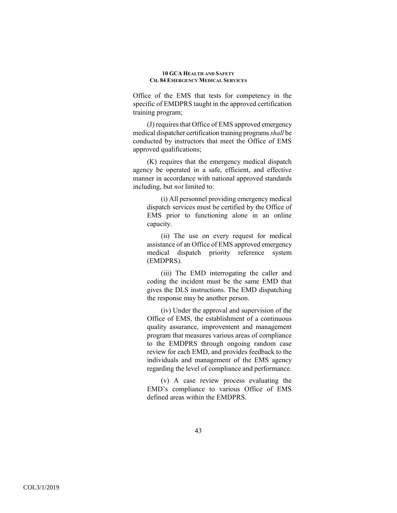Office of the EMS that tests for competency in the specific of EMDPRS taught in the approved certification training program;

(J) requires that Office of EMS approved emergency medical dispatcher certification training programs *shall* be conducted by instructors that meet the Office of EMS approved qualifications;

(K) requires that the emergency medical dispatch agency be operated in a safe, efficient, and effective manner in accordance with national approved standards including, but *not* limited to:

(i) All personnel providing emergency medical dispatch services must be certified by the Office of EMS prior to functioning alone in an online capacity.

(ii) The use on every request for medical assistance of an Office of EMS approved emergency medical dispatch priority reference system (EMDPRS).

(iii) The EMD interrogating the caller and coding the incident must be the same EMD that gives the DLS instructions. The EMD dispatching the response may be another person.

(iv) Under the approval and supervision of the Office of EMS, the establishment of a continuous quality assurance, improvement and management program that measures various areas of compliance to the EMDPRS through ongoing random case review for each EMD, and provides feedback to the individuals and management of the EMS agency regarding the level of compliance and performance.

(v) A case review process evaluating the EMD's compliance to various Office of EMS defined areas within the EMDPRS.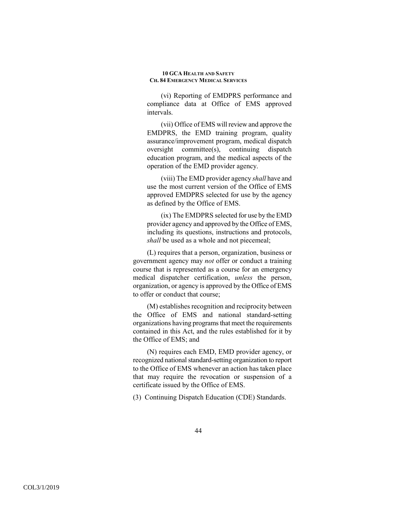(vi) Reporting of EMDPRS performance and compliance data at Office of EMS approved intervals.

(vii) Office of EMS will review and approve the EMDPRS, the EMD training program, quality assurance/improvement program, medical dispatch oversight committee(s), continuing dispatch education program, and the medical aspects of the operation of the EMD provider agency.

(viii) The EMD provider agency *shall* have and use the most current version of the Office of EMS approved EMDPRS selected for use by the agency as defined by the Office of EMS.

(ix) The EMDPRS selected for use by the EMD provider agency and approved by the Office of EMS, including its questions, instructions and protocols, *shall* be used as a whole and not piecemeal;

(L) requires that a person, organization, business or government agency may *not* offer or conduct a training course that is represented as a course for an emergency medical dispatcher certification, *unless* the person, organization, or agency is approved by the Office of EMS to offer or conduct that course;

(M) establishes recognition and reciprocity between the Office of EMS and national standard-setting organizations having programs that meet the requirements contained in this Act, and the rules established for it by the Office of EMS; and

(N) requires each EMD, EMD provider agency, or recognized national standard-setting organization to report to the Office of EMS whenever an action has taken place that may require the revocation or suspension of a certificate issued by the Office of EMS.

(3) Continuing Dispatch Education (CDE) Standards.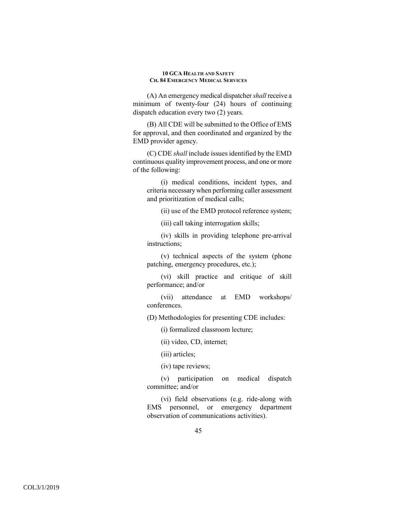(A) An emergency medical dispatcher *shall* receive a minimum of twenty-four (24) hours of continuing dispatch education every two (2) years.

(B) All CDE will be submitted to the Office of EMS for approval, and then coordinated and organized by the EMD provider agency.

(C) CDE *shall* include issues identified by the EMD continuous quality improvement process, and one or more of the following:

(i) medical conditions, incident types, and criteria necessary when performing caller assessment and prioritization of medical calls;

(ii) use of the EMD protocol reference system;

(iii) call taking interrogation skills;

(iv) skills in providing telephone pre-arrival instructions;

(v) technical aspects of the system (phone patching, emergency procedures, etc.);

(vi) skill practice and critique of skill performance; and/or

(vii) attendance at EMD workshops/ conferences.

(D) Methodologies for presenting CDE includes:

(i) formalized classroom lecture;

(ii) video, CD, internet;

(iii) articles;

(iv) tape reviews;

(v) participation on medical dispatch committee; and/or

(vi) field observations (e.g. ride-along with EMS personnel, or emergency department observation of communications activities).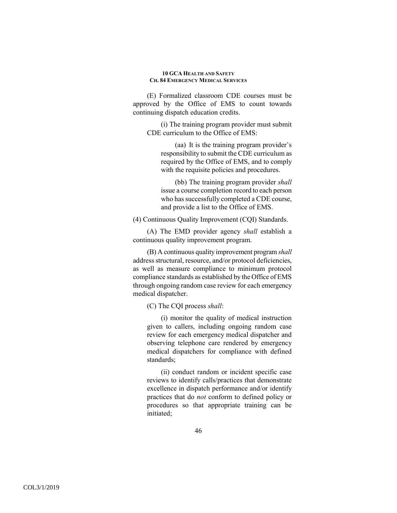(E) Formalized classroom CDE courses must be approved by the Office of EMS to count towards continuing dispatch education credits.

(i) The training program provider must submit CDE curriculum to the Office of EMS:

(aa) It is the training program provider's responsibility to submit the CDE curriculum as required by the Office of EMS, and to comply with the requisite policies and procedures.

(bb) The training program provider *shall*  issue a course completion record to each person who has successfully completed a CDE course, and provide a list to the Office of EMS.

(4) Continuous Quality Improvement (CQI) Standards.

(A) The EMD provider agency *shall* establish a continuous quality improvement program.

(B) A continuous quality improvement program *shall*  address structural, resource, and/or protocol deficiencies, as well as measure compliance to minimum protocol compliance standards as established by the Office of EMS through ongoing random case review for each emergency medical dispatcher.

(C) The CQI process *shall*:

(i) monitor the quality of medical instruction given to callers, including ongoing random case review for each emergency medical dispatcher and observing telephone care rendered by emergency medical dispatchers for compliance with defined standards;

(ii) conduct random or incident specific case reviews to identify calls/practices that demonstrate excellence in dispatch performance and/or identify practices that do *not* conform to defined policy or procedures so that appropriate training can be initiated;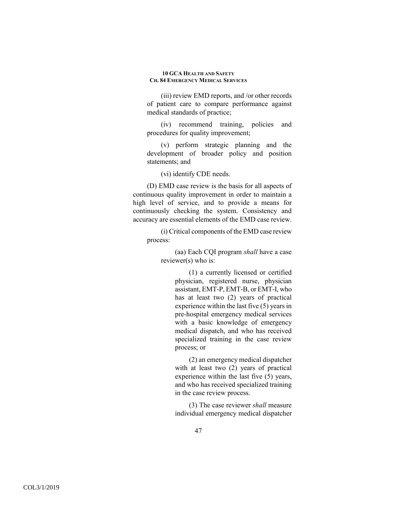(iii) review EMD reports, and /or other records of patient care to compare performance against medical standards of practice;

(iv) recommend training, policies and procedures for quality improvement;

(v) perform strategic planning and the development of broader policy and position statements; and

(vi) identify CDE needs.

(D) EMD case review is the basis for all aspects of continuous quality improvement in order to maintain a high level of service, and to provide a means for continuously checking the system. Consistency and accuracy are essential elements of the EMD case review.

(i) Critical components of the EMD case review process:

(aa) Each CQI program *shall* have a case reviewer(s) who is:

> (1) a currently licensed or certified physician, registered nurse, physician assistant, EMT-P, EMT-B, or EMT-I, who has at least two (2) years of practical experience within the last five (5) years in pre-hospital emergency medical services with a basic knowledge of emergency medical dispatch, and who has received specialized training in the case review process; or

> (2) an emergency medical dispatcher with at least two  $(2)$  years of practical experience within the last five (5) years, and who has received specialized training in the case review process.

> (3) The case reviewer *shall* measure individual emergency medical dispatcher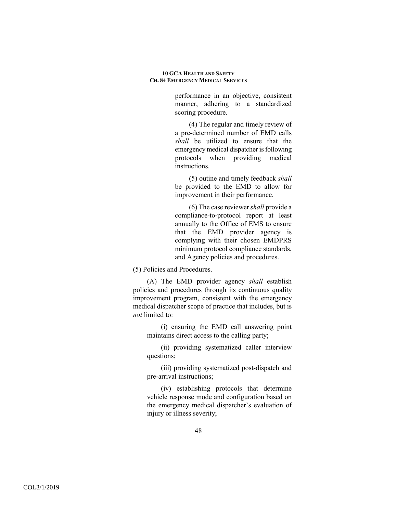performance in an objective, consistent manner, adhering to a standardized scoring procedure.

(4) The regular and timely review of a pre-determined number of EMD calls *shall* be utilized to ensure that the emergency medical dispatcher is following protocols when providing medical instructions.

(5) outine and timely feedback *shall* be provided to the EMD to allow for improvement in their performance.

(6) The case reviewer *shall* provide a compliance-to-protocol report at least annually to the Office of EMS to ensure that the EMD provider agency is complying with their chosen EMDPRS minimum protocol compliance standards, and Agency policies and procedures.

(5) Policies and Procedures.

(A) The EMD provider agency *shall* establish policies and procedures through its continuous quality improvement program, consistent with the emergency medical dispatcher scope of practice that includes, but is *not* limited to:

(i) ensuring the EMD call answering point maintains direct access to the calling party;

(ii) providing systematized caller interview questions;

(iii) providing systematized post-dispatch and pre-arrival instructions;

(iv) establishing protocols that determine vehicle response mode and configuration based on the emergency medical dispatcher's evaluation of injury or illness severity;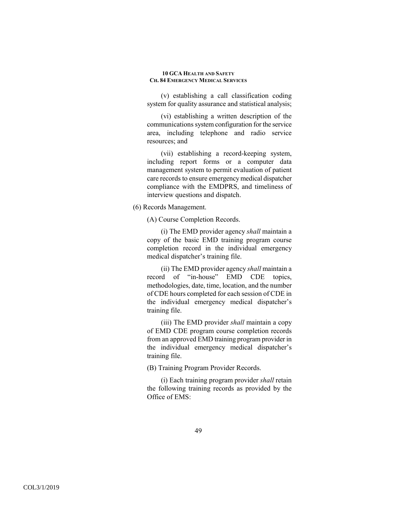(v) establishing a call classification coding system for quality assurance and statistical analysis;

(vi) establishing a written description of the communications system configuration for the service area, including telephone and radio service resources; and

(vii) establishing a record-keeping system, including report forms or a computer data management system to permit evaluation of patient care records to ensure emergency medical dispatcher compliance with the EMDPRS, and timeliness of interview questions and dispatch.

## (6) Records Management.

(A) Course Completion Records.

(i) The EMD provider agency *shall* maintain a copy of the basic EMD training program course completion record in the individual emergency medical dispatcher's training file.

(ii) The EMD provider agency *shall* maintain a record of "in-house" EMD CDE topics, methodologies, date, time, location, and the number of CDE hours completed for each session of CDE in the individual emergency medical dispatcher's training file.

(iii) The EMD provider *shall* maintain a copy of EMD CDE program course completion records from an approved EMD training program provider in the individual emergency medical dispatcher's training file.

(B) Training Program Provider Records.

(i) Each training program provider *shall* retain the following training records as provided by the Office of EMS: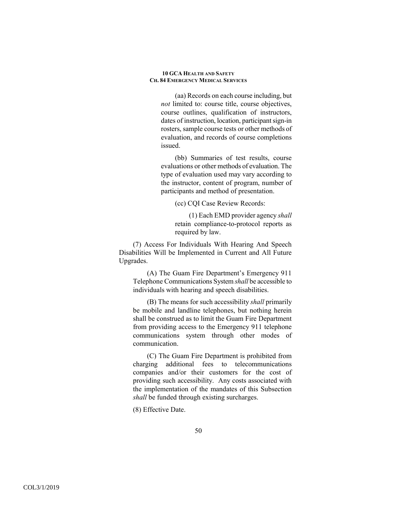(aa) Records on each course including, but *not* limited to: course title, course objectives, course outlines, qualification of instructors, dates of instruction, location, participant sign-in rosters, sample course tests or other methods of evaluation, and records of course completions issued.

(bb) Summaries of test results, course evaluations or other methods of evaluation. The type of evaluation used may vary according to the instructor, content of program, number of participants and method of presentation.

(cc) CQI Case Review Records:

(1) Each EMD provider agency *shall*  retain compliance-to-protocol reports as required by law.

(7) Access For Individuals With Hearing And Speech Disabilities Will be Implemented in Current and All Future Upgrades.

(A) The Guam Fire Department's Emergency 911 Telephone Communications System *shall* be accessible to individuals with hearing and speech disabilities.

(B) The means for such accessibility *shall* primarily be mobile and landline telephones, but nothing herein shall be construed as to limit the Guam Fire Department from providing access to the Emergency 911 telephone communications system through other modes of communication.

(C) The Guam Fire Department is prohibited from charging additional fees to telecommunications companies and/or their customers for the cost of providing such accessibility. Any costs associated with the implementation of the mandates of this Subsection *shall* be funded through existing surcharges.

(8) Effective Date.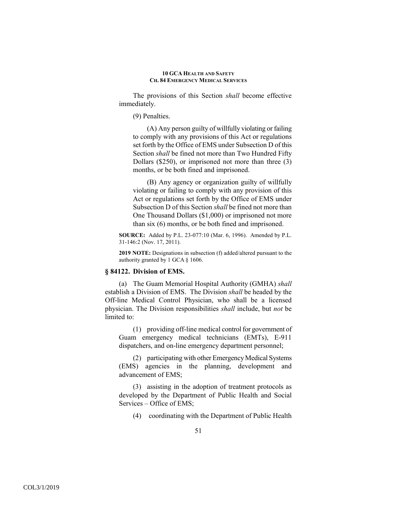The provisions of this Section *shall* become effective immediately.

(9) Penalties.

(A) Any person guilty of willfully violating or failing to comply with any provisions of this Act or regulations set forth by the Office of EMS under Subsection D of this Section *shall* be fined not more than Two Hundred Fifty Dollars (\$250), or imprisoned not more than three (3) months, or be both fined and imprisoned.

(B) Any agency or organization guilty of willfully violating or failing to comply with any provision of this Act or regulations set forth by the Office of EMS under Subsection D of this Section *shall* be fined not more than One Thousand Dollars (\$1,000) or imprisoned not more than six (6) months, or be both fined and imprisoned.

**SOURCE:** Added by P.L. 23-077:10 (Mar. 6, 1996). Amended by P.L. 31-146:2 (Nov. 17, 2011).

**2019 NOTE:** Designations in subsection (f) added/altered pursuant to the authority granted by 1 GCA § 1606.

## **§ 84122. Division of EMS.**

(a) The Guam Memorial Hospital Authority (GMHA) *shall* establish a Division of EMS. The Division *shall* be headed by the Off-line Medical Control Physician, who shall be a licensed physician. The Division responsibilities *shall* include, but *not* be limited to:

(1) providing off-line medical control for government of Guam emergency medical technicians (EMTs), E-911 dispatchers, and on-line emergency department personnel;

(2) participating with other Emergency Medical Systems (EMS) agencies in the planning, development and advancement of EMS;

(3) assisting in the adoption of treatment protocols as developed by the Department of Public Health and Social Services – Office of EMS;

(4) coordinating with the Department of Public Health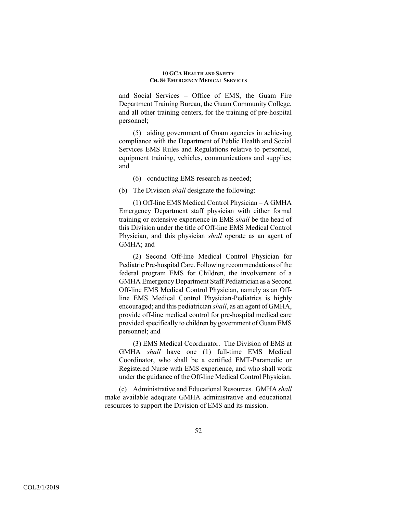and Social Services – Office of EMS, the Guam Fire Department Training Bureau, the Guam Community College, and all other training centers, for the training of pre-hospital personnel;

(5) aiding government of Guam agencies in achieving compliance with the Department of Public Health and Social Services EMS Rules and Regulations relative to personnel, equipment training, vehicles, communications and supplies; and

- (6) conducting EMS research as needed;
- (b) The Division *shall* designate the following:

(1) Off-line EMS Medical Control Physician – A GMHA Emergency Department staff physician with either formal training or extensive experience in EMS *shall* be the head of this Division under the title of Off-line EMS Medical Control Physician, and this physician *shall* operate as an agent of GMHA; and

(2) Second Off-line Medical Control Physician for Pediatric Pre-hospital Care. Following recommendations of the federal program EMS for Children, the involvement of a GMHA Emergency Department Staff Pediatrician as a Second Off-line EMS Medical Control Physician, namely as an Offline EMS Medical Control Physician-Pediatrics is highly encouraged; and this pediatrician *shall*, as an agent of GMHA, provide off-line medical control for pre-hospital medical care provided specifically to children by government of Guam EMS personnel; and

(3) EMS Medical Coordinator. The Division of EMS at GMHA *shall* have one (1) full-time EMS Medical Coordinator, who shall be a certified EMT-Paramedic or Registered Nurse with EMS experience, and who shall work under the guidance of the Off-line Medical Control Physician.

(c) Administrative and Educational Resources. GMHA *shall*  make available adequate GMHA administrative and educational resources to support the Division of EMS and its mission.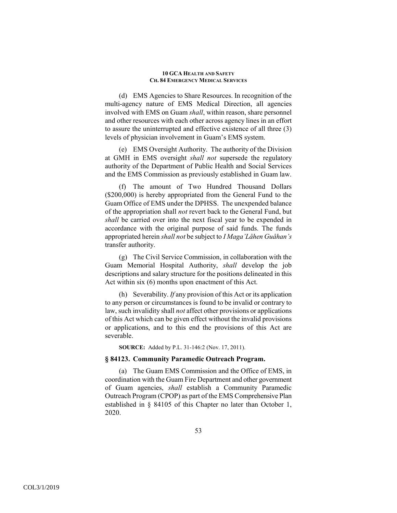(d) EMS Agencies to Share Resources. In recognition of the multi-agency nature of EMS Medical Direction, all agencies involved with EMS on Guam *shall*, within reason, share personnel and other resources with each other across agency lines in an effort to assure the uninterrupted and effective existence of all three (3) levels of physician involvement in Guam's EMS system.

(e) EMS Oversight Authority. The authority of the Division at GMH in EMS oversight *shall not* supersede the regulatory authority of the Department of Public Health and Social Services and the EMS Commission as previously established in Guam law.

(f) The amount of Two Hundred Thousand Dollars (\$200,000) is hereby appropriated from the General Fund to the Guam Office of EMS under the DPHSS. The unexpended balance of the appropriation shall *not* revert back to the General Fund, but *shall* be carried over into the next fiscal year to be expended in accordance with the original purpose of said funds. The funds appropriated herein *shall not* be subject to *I Maga'Låhen Guåhan's*  transfer authority.

(g) The Civil Service Commission, in collaboration with the Guam Memorial Hospital Authority, *shall* develop the job descriptions and salary structure for the positions delineated in this Act within six (6) months upon enactment of this Act.

(h) Severability. *If* any provision of this Act or its application to any person or circumstances is found to be invalid or contrary to law, such invalidity shall *not* affect other provisions or applications of this Act which can be given effect without the invalid provisions or applications, and to this end the provisions of this Act are severable.

**SOURCE:** Added by P.L. 31-146:2 (Nov. 17, 2011).

## **§ 84123. Community Paramedic Outreach Program.**

(a) The Guam EMS Commission and the Office of EMS, in coordination with the Guam Fire Department and other government of Guam agencies, *shall* establish a Community Paramedic Outreach Program (CPOP) as part of the EMS Comprehensive Plan established in § 84105 of this Chapter no later than October 1, 2020.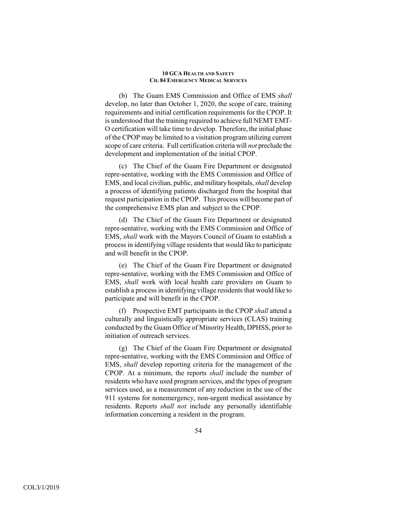(b) The Guam EMS Commission and Office of EMS *shall* develop, no later than October 1, 2020, the scope of care, training requirements and initial certification requirements for the CPOP. It is understood that the training required to achieve full NEMT EMT-O certification will take time to develop. Therefore, the initial phase of the CPOP may be limited to a visitation program utilizing current scope of care criteria. Full certification criteria will *not* preclude the development and implementation of the initial CPOP.

(c) The Chief of the Guam Fire Department or designated repre-sentative, working with the EMS Commission and Office of EMS, and local civilian, public, and military hospitals, *shall* develop a process of identifying patients discharged from the hospital that request participation in the CPOP. This process will become part of the comprehensive EMS plan and subject to the CPOP.

(d) The Chief of the Guam Fire Department or designated repre-sentative, working with the EMS Commission and Office of EMS, *shall* work with the Mayors Council of Guam to establish a process in identifying village residents that would like to participate and will benefit in the CPOP.

(e) The Chief of the Guam Fire Department or designated repre-sentative, working with the EMS Commission and Office of EMS, *shall* work with local health care providers on Guam to establish a process in identifying village residents that would like to participate and will benefit in the CPOP.

(f) Prospective EMT participants in the CPOP *shall* attend a culturally and linguistically appropriate services (CLAS) training conducted by the Guam Office of Minority Health, DPHSS, prior to initiation of outreach services.

(g) The Chief of the Guam Fire Department or designated repre-sentative, working with the EMS Commission and Office of EMS, *shall* develop reporting criteria for the management of the CPOP. At a minimum, the reports *shall* include the number of residents who have used program services, and the types of program services used, as a measurement of any reduction in the use of the 911 systems for nonemergency, non-urgent medical assistance by residents. Reports *shall not* include any personally identifiable information concerning a resident in the program.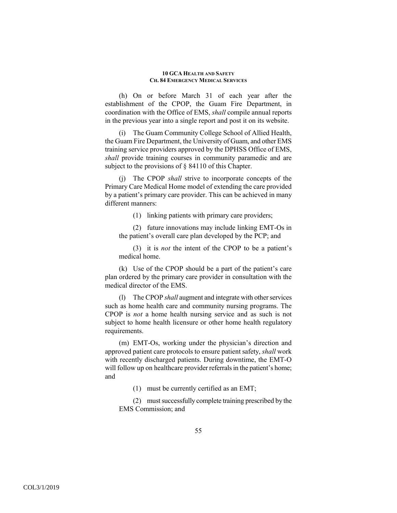(h) On or before March 31 of each year after the establishment of the CPOP, the Guam Fire Department, in coordination with the Office of EMS, *shall* compile annual reports in the previous year into a single report and post it on its website.

(i) The Guam Community College School of Allied Health, the Guam Fire Department, the University of Guam, and other EMS training service providers approved by the DPHSS Office of EMS, *shall* provide training courses in community paramedic and are subject to the provisions of § 84110 of this Chapter.

(j) The CPOP *shall* strive to incorporate concepts of the Primary Care Medical Home model of extending the care provided by a patient's primary care provider. This can be achieved in many different manners:

(1) linking patients with primary care providers;

(2) future innovations may include linking EMT-Os in the patient's overall care plan developed by the PCP; and

(3) it is *not* the intent of the CPOP to be a patient's medical home.

(k) Use of the CPOP should be a part of the patient's care plan ordered by the primary care provider in consultation with the medical director of the EMS.

(l) The CPOP *shall* augment and integrate with other services such as home health care and community nursing programs. The CPOP is *not* a home health nursing service and as such is not subject to home health licensure or other home health regulatory requirements.

(m) EMT-Os, working under the physician's direction and approved patient care protocols to ensure patient safety, *shall* work with recently discharged patients. During downtime, the EMT-O will follow up on healthcare provider referrals in the patient's home; and

(1) must be currently certified as an EMT;

(2) must successfully complete training prescribed by the EMS Commission; and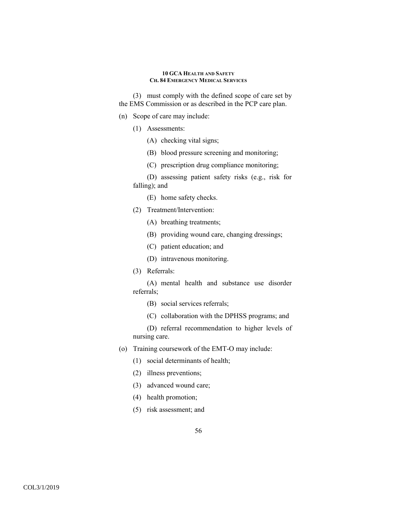(3) must comply with the defined scope of care set by the EMS Commission or as described in the PCP care plan.

- (n) Scope of care may include:
	- (1) Assessments:
		- (A) checking vital signs;
		- (B) blood pressure screening and monitoring;
		- (C) prescription drug compliance monitoring;

(D) assessing patient safety risks (e.g., risk for falling); and

- (E) home safety checks.
- (2) Treatment/Intervention:
	- (A) breathing treatments;
	- (B) providing wound care, changing dressings;
	- (C) patient education; and
	- (D) intravenous monitoring.
- (3) Referrals:

(A) mental health and substance use disorder referrals;

- (B) social services referrals;
- (C) collaboration with the DPHSS programs; and

(D) referral recommendation to higher levels of nursing care.

- (o) Training coursework of the EMT-O may include:
	- (1) social determinants of health;
	- (2) illness preventions;
	- (3) advanced wound care;
	- (4) health promotion;
	- (5) risk assessment; and